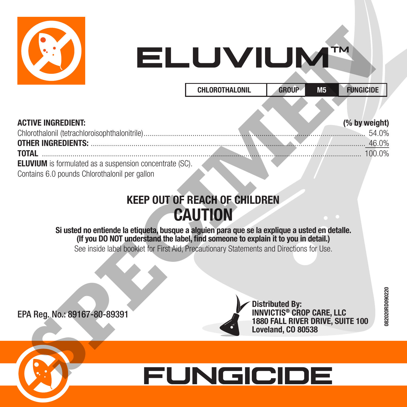

# **ELUVIUMTM**

CHI ODOTHAI ONII

**CROUD** 

**ME** 

**EIMCIPIDE** 

|                                                                                                                  | <u>VIILVIIVIIIALVIIIL</u> | unvur | . | .             |
|------------------------------------------------------------------------------------------------------------------|---------------------------|-------|---|---------------|
|                                                                                                                  |                           |       |   |               |
| <b>ACTIVE INGREDIENT:</b>                                                                                        |                           |       |   | (% by weight) |
|                                                                                                                  |                           |       |   | 54 0%         |
|                                                                                                                  |                           |       |   | 46.0%         |
| <b>TOTAL</b>                                                                                                     |                           |       |   | 100.0%        |
| <b>ELUVIUM</b> is formulated as a suspension concentrate (SC).<br>Captains C.O. nounde Chlerethologii ner gellen |                           |       |   |               |

Contains 6.0 pounds Chlorothaionii per gallon

# **KEEP OUT OF REACH OF CHILDREN CAUTION**

Si usted no entiende la etiqueta, busque a alguien para que se la explique a usted en detalle. (If you DO NOT understand the label, find someone to explain it to you in detail.) See inside label booklet for First Aid, Precautionary Statements and Directions for Use.

EPA Reg. No.: 89167-80-89391



**Distributed By: INNVICTIS<sup>®</sup> CROP CARE, LLC** 1880 FALL RIVER DRIVE, SUITE 100 **Loveland, CO 80538** 

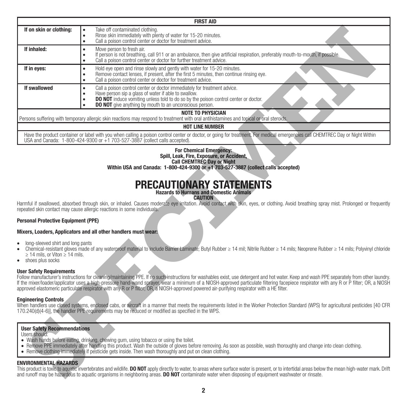|                                                                                                          | <b>FIRST AID</b>                                                                                                                                                                                                                                                                                                                                                                                                                                                                                                                       |
|----------------------------------------------------------------------------------------------------------|----------------------------------------------------------------------------------------------------------------------------------------------------------------------------------------------------------------------------------------------------------------------------------------------------------------------------------------------------------------------------------------------------------------------------------------------------------------------------------------------------------------------------------------|
| If on skin or clothing:                                                                                  | Take off contaminated clothing.<br>٠<br>Rinse skin immediately with plenty of water for 15-20 minutes.<br>٠<br>$\bullet$<br>Call a poison control center or doctor for treatment advice.                                                                                                                                                                                                                                                                                                                                               |
| If inhaled:                                                                                              | Move person to fresh air.<br>$\bullet$<br>If person is not breathing, call 911 or an ambulance, then give artificial respiration, preferably mouth-to-mouth, if possible.<br>٠<br>Call a poison control center or doctor for further treatment advice.<br>$\bullet$                                                                                                                                                                                                                                                                    |
| If in eyes:                                                                                              | Hold eye open and rinse slowly and gently with water for 15-20 minutes.<br>$\bullet$<br>Remove contact lenses, if present, after the first 5 minutes, then continue rinsing eve.<br>$\bullet$<br>Call a poison control center or doctor for treatment advice.<br>$\bullet$                                                                                                                                                                                                                                                             |
| If swallowed                                                                                             | Call a poison control center or doctor immediately for treatment advice.<br>$\bullet$<br>Have person sip a glass of water if able to swallow.<br>٠<br>DO NOT induce vomiting unless told to do so by the poison control center or doctor.<br>٠<br>DO NOT give anything by mouth to an unconscious person.<br>$\bullet$                                                                                                                                                                                                                 |
|                                                                                                          | <b>NOTE TO PHYSICIAN</b><br>Persons suffering with temporary allergic skin reactions may respond to treatment with oral antihistamines and topical or oral steroids.                                                                                                                                                                                                                                                                                                                                                                   |
|                                                                                                          | <b>HOT LINE NUMBER</b>                                                                                                                                                                                                                                                                                                                                                                                                                                                                                                                 |
|                                                                                                          | Have the product container or label with you when calling a poison control center or doctor, or going for treatment. For medical emergencies call CHEMTREC Day or Night Within<br>USA and Canada: 1-800-424-9300 or +1 703-527-3887 (collect calls accepted).                                                                                                                                                                                                                                                                          |
|                                                                                                          | Spill, Leak, Fire, Exposure, or Accident,<br><b>Call CHEMTREG Day or Night</b><br>Within USA and Canada: 1-800-424-9300 or +1 703-527-3887 (collect calls accepted)<br><b>PRECAUTIONARY STATEMENTS</b>                                                                                                                                                                                                                                                                                                                                 |
|                                                                                                          | <b>Hazards to Humans and Domestic Animals</b>                                                                                                                                                                                                                                                                                                                                                                                                                                                                                          |
|                                                                                                          | <b>CAUTION</b><br>Harmful if swallowed, absorbed through skin, or inhaled. Causes moderate eve irritation. Avoid contact with skin, eyes, or clothing. Avoid breathing spray mist. Prolonged or frequently<br>repeated skin contact may cause allergic reactions in some individuals.                                                                                                                                                                                                                                                  |
| <b>Personal Protective Equipment (PPE)</b>                                                               |                                                                                                                                                                                                                                                                                                                                                                                                                                                                                                                                        |
|                                                                                                          | Mixers, Loaders, Applicators and all other handlers must wear:                                                                                                                                                                                                                                                                                                                                                                                                                                                                         |
| long-sleeved shirt and long pants<br>٠<br>$\geq$ 14 mils, or Viton $\geq$ 14 mils.<br>• shoes plus socks | Chemical-resistant gloves made of any waterproof material to include Barrier Laminate; Butyl Rubber ≥ 14 mil; Nitrile Rubber ≥ 14 mils; Neoprene Rubber ≥ 14 mils; Polyvinyl chloride                                                                                                                                                                                                                                                                                                                                                  |
| <b>User Safety Requirements</b>                                                                          | Follow manufacturer's instructions for cleaning/maintaining PPE. If no such instructions for washables exist, use detergent and hot water. Keep and wash PPE separately from other laundry.<br>If the mixer/loader/applicator uses a high-pressure hand-wand sprayer, wear a minimum of a NIOSH-approved particulate filtering facepiece respirator with any R or P filter; OR, a NIOSH<br>approved elastomeric particulate respirator with any R or P filter; OR, a NIOSH-approved powered air-purifying respirator with a HE filter. |
| <b>Engineering Controls</b>                                                                              | When handlers use closed systems, enclosed cabs, or aircraft in a manner that meets the requirements listed in the Worker Protection Standard (WPS) for agricultural pesticides [40 CFR<br>170.240(d)(4-6)], the handler PPE requirements may be reduced or modified as specified in the WPS.                                                                                                                                                                                                                                          |
| <b>User Safety Recommendations</b>                                                                       |                                                                                                                                                                                                                                                                                                                                                                                                                                                                                                                                        |
| Users should:                                                                                            | • Wash hands before eating, drinking, chewing gum, using tobacco or using the toilet.<br>• Remove PPE immediately after handling this product. Wash the outside of gloves before removing. As soon as possible, wash thoroughly and change into clean clothing.<br>• Remove clothing immediately if pesticide gets inside. Then wash thoroughly and put on clean clothing.                                                                                                                                                             |
| <b>ENVIRONMENTAL HAZARDS</b>                                                                             | This product is toxic to aquatic invertebrates and wildlife. DO NOT apply directly to water, to areas where surface water is present, or to intertidal areas below the mean high-water mark. Drift<br>and runoff may be hazardous to aquatic organisms in neighboring areas. DO NOT contaminate water when disposing of equipment washwater or rinsate.                                                                                                                                                                                |

# PRECAUTIONARY STATEMENTS Hazards to Humans and Domestic Animals

#### Personal Protective Equipment (PPE)

#### Mixers, Loaders, Applicators and all other handlers must wear:

- long-sleeved shirt and long pants
- • Chemical-resistant gloves made of any waterproof material to include Barrier Laminate; Butyl Rubber ≥ 14 mil; Nitrile Rubber ≥ 14 mils; Neoprene Rubber ≥ 14 mils; Polyvinyl chloride  $\geq$  14 mils, or Viton  $\geq$  14 mils.
- shoes plus socks

#### User Safety Requirements

#### Engineering Controls

#### User Safety Recommendations

- Users should:<br>• Wash hands before eating, drinking, chewing gum, using tobacco or using the toilet.
- Remove PPE immediately after handling this product. Wash the outside of gloves before removing. As soon as possible, wash thoroughly and change into clean clothing.<br>• Remove clothing immediately if pesticide gets inside.
- 

#### ENVIRONMENTAL HAZARDS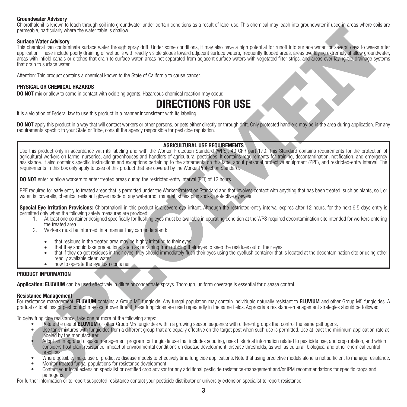#### Groundwater Advisory

Chlorothalonil is known to leach through soil into groundwater under certain conditions as a result of label use. This chemical may leach into groundwater if used in areas where soils are permeable, particularly where the water table is shallow.

#### Surface Water Advisory

This chemical can contaminate surface water through spray drift. Under some conditions, it may also have a high potential for runoff into surface water for several days to weeks after application. These include poorly draining or wet soils with readily visible slopes toward adjacent surface waters, frequently flooded areas, areas overlaying extremely shallow groundwater, areas with infield canals or ditches that drain to surface water, areas not separated from adjacent surface waters with vegetated filter strips, and areas over-laying tile drainage systems that drain to surface water.

Attention: This product contains a chemical known to the State of California to cause cancer.

#### PHYSICAL OR CHEMICAL HAZARDS

DO NOT mix or allow to come in contact with oxidizing agents. Hazardous chemical reaction may occur.

## DIRECTIONS FOR USE

It is a violation of Federal law to use this product in a manner inconsistent with its labeling.

DO NOT apply this product in a way that will contact workers or other persons, or pets either directly or through drift. Only protected handlers may be in the area during application. For any requirements specific to your State or Tribe, consult the agency responsible for pesticide regulation.

#### AGRICULTURAL USE REQUIREMENTS

Use this product only in accordance with its labeling and with the Worker Protection Standard (WPS), 40 CFR part 170. This Standard contains requirements for the protection of arriviolents for the protection of arriviolent assistance. It also contains specific instructions and exceptions pertaining to the statements on this label about personal protective equipment (PPE), and restricted-entry interval. The requirements in this box only apply **SHOW that the end of the state of the state of the state of the state of the state of the state of the state of the state of the state of the state of the state of the state of the state of the state of the state of the s** 

**DO NOT** enter or allow workers to enter treated areas during the restricted-entry interval (REI) of 12 hours.

PPE required for early entry to treated areas that is permitted under the Worker Protection Standard and that involves contact with anything that has been treated, such as plants, soil, or water, is: coveralls, chemical resistant gloves made of any waterproof material, shoes plus socks, protective eyewear.

Special Eye Irritation Provisions: Chlorothalonil in this product is a severe eye irritant. Although the restricted-entry interval expires after 12 hours, for the next 6.5 days entry is permitted only when the following sa

- At least one container designed specifically for flushing eyes must be available in operating condition at the WPS required decontamination site intended for workers entering<br>the treated area.<br>2. Workers must be informed,
- -
	- that residues in the treated area may be highly irritating to their eyes<br>• that they should take precautions, such as refraining from rubbing their eyes to keep the residues out of their eyes
	- that if they do get residues in their eyes, they should immediately flush their eyes using the eyeflush container that is located at the decontamination site or using other readily available clean water
	- how to operate the eyeflush container

#### PRODUCT INFORMATION

Application: ELUVIUM can be used effectively in dilute or concentrate sprays. Thorough, uniform coverage is essential for disease control.

#### Resistance Management

For resistance management. ELUVIUM contains a Group M5 fungicide. Any fungal population may contain individuals naturally resistant to ELUVIUM and other Group M5 fungicides. A gradual or total loss of pest control may occur over time if these fungicides are used repeatedly in the same fields. Appropriate resistance-management strategies should be followed.

To delay fungicide resistance, take one or more of the following steps:

- Rotate the use of **ELUVIUM** or other Group M5 fungicides within a growing season sequence with different groups that control the same pathogens.
- Use tank mixtures with fungicides from a different group that are equally effective on the target pest when such use is permitted. Use at least the minimum application rate as labeled by the manufacturer.
- Adopt an integrated disease management program for fungicide use that includes scouting, uses historical information related to pesticide use, and crop rotation, and which considers host plant resistance, impact of environmental conditions on disease development, disease thresholds, as well as cultural, biological and other chemical control practices.
- Where possible, make use of predictive disease models to effectively time fungicide applications. Note that using predictive models alone is not sufficient to manage resistance.
- Monitor treated fungal populations for resistance development.
- Contact your local extension specialist or certified crop advisor for any additional pesticide resistance-management and/or IPM recommendations for specific crops and<br>nathoneris

For further information or to report suspected resistance contact your pesticide distributor or university extension specialist to report resistance.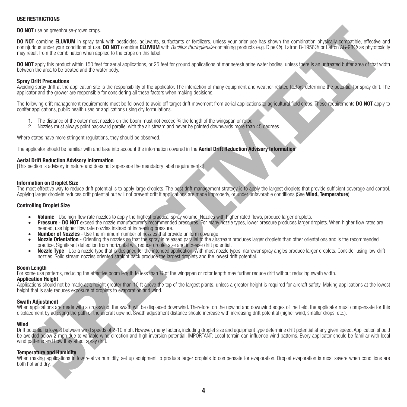### USE RESTRICTIONS

DO NOT use on greenhouse-grown crops.

DO NOT combine ELUVIUM in spray tank with pesticides, adjuvants, surfactants or fertilizers, unless your prior use has shown the combination physically compatible, effective and noninjurious under your conditions of use. DO NOT combine ELUVIUM with *Bacillus thuringiensis*-containing products (e.g. Dipel®), Latron B-1956® or Latron AG-98® as phytotoxicity may result from the combination when applied to the crops on this label. **OD MOT** and the special special special special special special special special special special special special special special special special special special special special special special special special special speci

DO NOT apply this product within 150 feet for aerial applications, or 25 feet for ground applications of marine/estuarine water bodies, unless there is an untreated buffer area of that width between the area to be treated and the water body.

#### Spray Drift Precautions

Avoiding spray drift at the application site is the responsibility of the applicator. The interaction of many equipment and weather-related factors determine the potential for spray drift. The applicator and the grower are responsible for considering all these factors when making decisions.

The following drift management requirements must be followed to avoid off target drift movement from aerial applications to agricultural field crops. These requirements DO NOT apply to conifer applications, public health uses or applications using dry formulations.

- 1. The distance of the outer most nozzles on the boom must not exceed ¾ the length of the wingspan or rotor.
- 2. Nozzles must always point backward parallel with the air stream and never be pointed downwards more than 45 degrees.

Where states have more stringent regulations, they should be observed.

The applicator should be familiar with and take into account the information covered in the Aerial Drift Reduction Advisory Information.

#### Aerial Drift Reduction Advisory Information

[This section is advisory in nature and does not supersede the mandatory label requirements.]

#### Information on Droplet Size

The most effective way to reduce drift potential is to apply large droplets. The best drift management strategy is to apply the largest droplets that provide sufficient coverage and control. Applying larger droplets reduces drift potential but will not prevent drift if applications are made improperly, or under unfavorable conditions (See Wind, Temperature).

## Controlling Droplet Size

- Volume Use high flow rate nozzles to apply the highest practical spray volume. Nozzles with higher rated flows, produce larger droplets.<br>• Pressure DO NOT exceed the nozzle manufacturer's recommended pressures. For m
- Pressure DO NOT exceed the nozzle manufacturer's recommended pressures. For many nozzle types, lower pressure produces larger droplets. When higher flow rates are needed, use higher flow rate nozzles instead of increasing pressure.
- **Number of Nozzles** Use the minimum number of nozzles that provide uniform coverage.
- Nozzle Orientation Orienting the nozzles so that the spray is released parallel to the airstream produces larger droplets than other orientations and is the recommended practice. Significant deflection from horizontal will reduce droplet size and increase drift potential.
- Nozzle Type Use a nozzle type that is designed for the intended application. With most nozzle types, narrower spray angles produce larger droplets. Consider using low-drift nozzles. Solid stream nozzles oriented straight back produce the largest droplets and the lowest drift potential.

#### Boom Length

For some use patterns, reducing the effective boom length to less than  $\frac{3}{4}$  of the wingspan or rotor length may further reduce drift without reducing swath width.

#### Application Height

Applications should not be made at a height greater than 10 ft above the top of the largest plants, unless a greater height is required for aircraft safety. Making applications at the lowest height that is safe reduces exposure of droplets to evaporation and wind.

#### Swath Adjustment

When applications are made with a crosswind, the swath will be displaced downwind. Therefore, on the upwind and downwind edges of the field, the applicator must compensate for this displacement by adjusting the path of the aircraft upwind. Swath adjustment distance should increase with increasing drift potential (higher wind, smaller drops, etc.).

#### Wind

Drift potential is lowest between wind speeds of 2-10 mph. However, many factors, including droplet size and equipment type determine drift potential at any given speed. Application should be avoided below 2 mph due to variable wind direction and high inversion potential. IMPORTANT: Local terrain can influence wind patterns. Every applicator should be familiar with local wind patterns and how they affect spray drift.

#### Temperature and Humidity

When making applications in low relative humidity, set up equipment to produce larger droplets to compensate for evaporation. Droplet evaporation is most severe when conditions are<br>both hot and dry.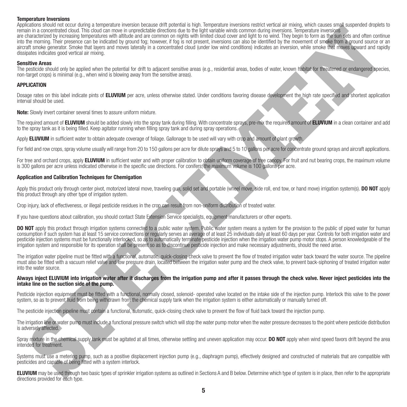#### Temperature Inversions

Applications should not occur during a temperature inversion because drift potential is high. Temperature inversions restrict vertical air mixing, which causes small suspended droplets to remain in a concentrated cloud. This cloud can move in unpredictable directions due to the light variable winds common during inversions. Temperature inversions are characterized by increasing temperatures with altitude and are common on nights with limited cloud cover and light to no wind. They begin to form as the sun sets and often continue

into the morning. Their presence can be indicated by ground fog; however, if fog is not present, inversions can also be identified by the movement of smoke from a ground source or an aircraft smoke generator. Smoke that layers and moves laterally in a concentrated cloud (under low wind conditions) indicates an inversion, while smoke that moves upward and rapidly dissipates indicates good vertical air mixing.

### Sensitive Areas

The pesticide should only be applied when the potential for drift to adjacent sensitive areas (e.g., residential areas, bodies of water, known habitat for threatened or endangered species, non-target crops) is minimal (e.g., when wind is blowing away from the sensitive areas).

## APPLICATION

Dosage rates on this label indicate pints of **ELUVIUM** per acre, unless otherwise stated. Under conditions favoring disease development the high rate specified and shortest application interval should be used.

Note: Slowly invert container several times to assure uniform mixture.

The required amount of **ELUVIUM** should be added slowly into the spray tank during filling. With concentrate sprays, pre-mix the required amount of **ELUVIUM** in a clean container and add<br>To the spray tank as it is being fi

Apply **ELUVIUM** in sufficient water to obtain adequate coverage of foliage. Gallonage to be used will vary with crop and amount of plant growth.

For field and row crops, spray volume usually will range from 20 to 150 gallons per acre for dilute sprays and 5 to 10 gallons per acre for concentrate ground sprays and aircraft applications.

For tree and orchard crops, apply **ELUVIUM** in sufficient water and with proper calibration to obtain uniform coverage of tree canopy. For fruit and nut bearing crops, the maximum volume is 300 gallons per acre unless indicated otherwise in the specific use directions. For conifers, the maximum volume is 100 gallons per acre.

#### Application and Calibration Techniques for Chemigation

Apply this product only through center pivot, motorized lateral move, traveling qun, solid set and portable (wheel move, side roll, end tow, or hand move) irrigation system(s). **DO NOT** apply this product through any other type of irrigation system.

Crop injury, lack of effectiveness, or illegal pesticide residues in the crop can result from non-uniform distribution of treated water.

If you have questions about calibration, you should contact State Extension Service specialists, equipment manufacturers or other experts.

DO NOT apply this product through irrigation systems connected to a public water system. Public water system means a system for the provision to the public of piped water for human consumption if such system has at least 15 service connections or regularly serves an average of at least 25 individuals daily at least 60 days per year. Controls for both irrigation water and pesticide injection systems must be functionally interlocked, so as to automatically terminate pesticide injection when the irrigation water pump motor stops. A person knowledgeable of the irrigation system and responsible for its operation shall be present so as to discontinue pesticide injection and make necessary adjustments, should the need arise. on the constrained the location procedure is a presentation of the state of the state of the state of the state of the state of the state of the state of the state of the state of the state of the state of the state of the

The irrigation water pipeline must be fitted with a functional, automatic, quick-closing check valve to prevent the flow of treated irrigation water back toward the water source. The pipeline must also be fitted with a vacuum relief valve and low pressure drain, located between the irrigation water pump and the check valve, to prevent back-siphoning of treated irrigation water into the water source.

#### Always inject ELUVIUM into irrigation water after it discharges from the irrigation pump and after it passes through the check valve. Never inject pesticides into the intake line on the suction side of the pump.

Pesticide injection equipment must be fitted with a functional, normally closed, solenoid- operated valve located on the intake side of the injection pump. Interlock this valve to the power system, so as to prevent fluid from being withdrawn from the chemical supply tank when the irrigation system is either automatically or manually turned off.

The pesticide injection pipeline must contain a functional, automatic, quick-closing check valve to prevent the flow of fluid back toward the injection pump.

The irrigation line or water pump must include a functional pressure switch which will stop the water pump motor when the water pressure decreases to the point where pesticide distribution is adversely affected.

Spray mixture in the chemical supply tank must be agitated at all times, otherwise settling and uneven application may occur. DO NOT apply when wind speed favors drift beyond the area<br>intended for treatment.

Systems must use a metering pump, such as a positive displacement injection pump (e.g., diaphragm pump), effectively designed and constructed of materials that are compatible with pesticides and capable of being fitted with a system interlock.

**ELUVIUM** may be used through two basic types of sprinkler irrigation systems as outlined in Sections A and B below. Determine which type of system is in place, then refer to the appropriate directions provided for each type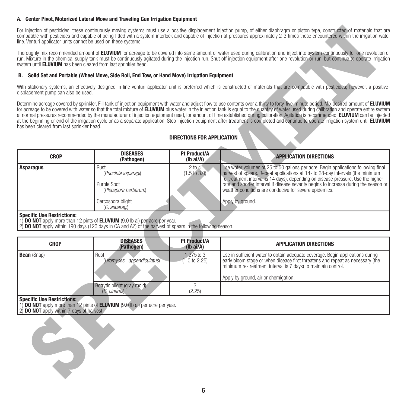## A. Center Pivot, Motorized Lateral Move and Traveling Gun Irrigation Equipment

## B. Solid Set and Portable (Wheel Move, Side Roll, End Tow, or Hand Move) Irrigation Equipment

## DIRECTIONS FOR APPLICATION

| line. Venturi applicator units cannot be used on these systems.                |                                                                                                                                                                                                         |                                    | For injection of pesticides, these continuously moving systems must use a positive displacement injection pump, of either diaphragm or piston type, constructed of materials that are<br>compatible with pesticides and capable of being fitted with a system interlock and capable of injection at pressures approximately 2-3 times those encountered within the irrigation water                                                                                                                                                                                                                                                                                                                                                                                                                         |
|--------------------------------------------------------------------------------|---------------------------------------------------------------------------------------------------------------------------------------------------------------------------------------------------------|------------------------------------|-------------------------------------------------------------------------------------------------------------------------------------------------------------------------------------------------------------------------------------------------------------------------------------------------------------------------------------------------------------------------------------------------------------------------------------------------------------------------------------------------------------------------------------------------------------------------------------------------------------------------------------------------------------------------------------------------------------------------------------------------------------------------------------------------------------|
| system until <b>ELUVIUM</b> has been cleared from last sprinkler head.         |                                                                                                                                                                                                         |                                    | Thoroughly mix recommended amount of <b>ELUVIUM</b> for acreage to be covered into same amount of water used during calibration and inject into system continuously for one revolution or<br>run. Mixture in the chemical supply tank must be continuously agitated during the injection run. Shut off injection equipment after one revolution or run, but continue to operate irrigation                                                                                                                                                                                                                                                                                                                                                                                                                  |
|                                                                                | B. Solid Set and Portable (Wheel Move, Side Roll, End Tow, or Hand Move) Irrigation Equipment                                                                                                           |                                    |                                                                                                                                                                                                                                                                                                                                                                                                                                                                                                                                                                                                                                                                                                                                                                                                             |
| displacement pump can also be used.                                            |                                                                                                                                                                                                         |                                    | With stationary systems, an effectively designed in-line venturi applicator unit is preferred which is constructed of materials that are compatible with pesticides. however, a positive-                                                                                                                                                                                                                                                                                                                                                                                                                                                                                                                                                                                                                   |
| has been cleared from last sprinkler head.                                     |                                                                                                                                                                                                         |                                    | Determine acreage covered by sprinkler. Fill tank of injection equipment with water and adjust flow to use contents over a thirty to forty-five-minute period. Mix desired amount of <b>ELUVIUM</b><br>for acreage to be covered with water so that the total mixture of <b>ELUVIUM</b> plus water in the injection tank is equal to the quantity of water used during calibration and operate entire system<br>at normal pressures recommended by the manufacturer of injection equipment used, for amount of time established during calibration. Agitation is recommended. ELUVIUM can be injected<br>at the beginning or end of the irrigation cycle or as a separate application. Stop injection equipment after treatment is completed and continue to operate irrigation system until <b>ELUVIUM</b> |
|                                                                                |                                                                                                                                                                                                         | <b>DIRECTIONS FOR APPLICATION</b>  |                                                                                                                                                                                                                                                                                                                                                                                                                                                                                                                                                                                                                                                                                                                                                                                                             |
| <b>CROP</b>                                                                    | <b>DISEASES</b><br>(Pathogen)                                                                                                                                                                           | Pt Product/A<br>$(Ib\text{ ai/A})$ | <b>APPLICATION DIRECTIONS</b>                                                                                                                                                                                                                                                                                                                                                                                                                                                                                                                                                                                                                                                                                                                                                                               |
| Asparagus                                                                      | Rust<br>(Puccinia asparagi)<br>Purple Spot                                                                                                                                                              | $2$ to $4$<br>(1.5 to 3.0)         | Use water volumes of 25 to 50 gallons per acre. Begin applications following final<br>harvest of spears. Repeat applications at 14- to 28-day intervals (the minimum<br>re-treatment interval is 14 days), depending on disease pressure. Use the higher<br>rate and shorter interval if disease severity begins to increase during the season or                                                                                                                                                                                                                                                                                                                                                                                                                                                           |
|                                                                                | (Pleospora herbarum)                                                                                                                                                                                    |                                    | weather conditions are conducive for severe epidemics.                                                                                                                                                                                                                                                                                                                                                                                                                                                                                                                                                                                                                                                                                                                                                      |
|                                                                                | Cercospora blight<br>(C. asparagi)                                                                                                                                                                      |                                    | Apply by ground.                                                                                                                                                                                                                                                                                                                                                                                                                                                                                                                                                                                                                                                                                                                                                                                            |
| <b>Specific Use Restrictions:</b>                                              | 1) <b>DO NOT</b> apply more than 12 pints of <b>ELUVIUM</b> (9.0 lb ai) per acre per year.<br>2) DO NOT apply within 190 days (120 days in CA and AZ) of the harvest of spears in the following season. |                                    |                                                                                                                                                                                                                                                                                                                                                                                                                                                                                                                                                                                                                                                                                                                                                                                                             |
|                                                                                | <b>DISEASES</b>                                                                                                                                                                                         | <b>Pt Product/A</b>                |                                                                                                                                                                                                                                                                                                                                                                                                                                                                                                                                                                                                                                                                                                                                                                                                             |
| <b>CROP</b>                                                                    | (Pathogen)                                                                                                                                                                                              | $(lb\text{ ai/A})$                 | <b>APPLICATION DIRECTIONS</b>                                                                                                                                                                                                                                                                                                                                                                                                                                                                                                                                                                                                                                                                                                                                                                               |
| <b>Bean (Snap)</b>                                                             | Rust<br>(Uromyces appendiculatus)                                                                                                                                                                       | 1.375 to 3<br>(1.0 to 2.25)        | Use in sufficient water to obtain adequate coverage. Begin applications during<br>early bloom stage or when disease first threatens and repeat as necessary (the<br>minimum re-treatment interval is 7 days) to maintain control.                                                                                                                                                                                                                                                                                                                                                                                                                                                                                                                                                                           |
|                                                                                |                                                                                                                                                                                                         |                                    | Apply by ground, air or chemigation.                                                                                                                                                                                                                                                                                                                                                                                                                                                                                                                                                                                                                                                                                                                                                                        |
|                                                                                | Botrytis blight (gray mold)<br>(B. cinerea)                                                                                                                                                             | 3<br>(2.25)                        |                                                                                                                                                                                                                                                                                                                                                                                                                                                                                                                                                                                                                                                                                                                                                                                                             |
| <b>Specific Use Restrictions:</b><br>2) DO NOT apply within 7 days of harvest. | 1) DO NOT apply more than 12 pints of ELUVIUM (9.0 lb ai) per acre per year.                                                                                                                            |                                    |                                                                                                                                                                                                                                                                                                                                                                                                                                                                                                                                                                                                                                                                                                                                                                                                             |
|                                                                                |                                                                                                                                                                                                         |                                    |                                                                                                                                                                                                                                                                                                                                                                                                                                                                                                                                                                                                                                                                                                                                                                                                             |

| <b>CROP</b>        | DISEASES<br>(Pathogen)                      | <b>Pt Product/A</b><br>$(Ib\text{ ai/A})$ | <b>APPLICATION DIRECTIONS</b>                                                                                                                                                                                                                                               |
|--------------------|---------------------------------------------|-------------------------------------------|-----------------------------------------------------------------------------------------------------------------------------------------------------------------------------------------------------------------------------------------------------------------------------|
| <b>Bean (Snap)</b> | Rust<br>appendiculatus)<br><i>(Uromvces</i> | 1.375 to 3<br>(1.0 t0 2.25)               | I Use in sufficient water to obtain adequate coverage. Begin applications during<br>early bloom stage or when disease first threatens and repeat as necessary (the<br>minimum re-treatment interval is 7 days) to maintain control.<br>Apply by ground, air or chemigation. |
|                    | Botrytis blight (gray mold)<br>(B. cinerea) | (2.25)                                    |                                                                                                                                                                                                                                                                             |
|                    |                                             |                                           |                                                                                                                                                                                                                                                                             |

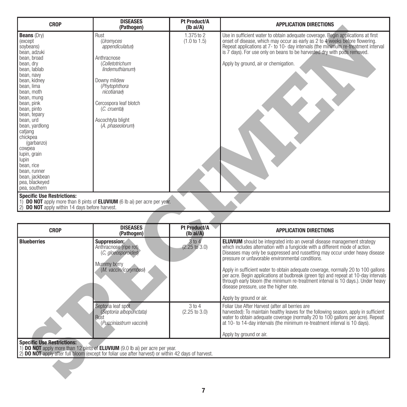| <b>CROP</b>                                                                                                                                                                                                                                                                                                                                                                                                                                                                                                         | <b>DISEASES</b><br>(Pathogen)                                                                                                                                                                                                                                                                                  | Pt Product/A<br>$(Ib\text{ ai/A})$     | <b>APPLICATION DIRECTIONS</b>                                                                                                                                                                                                                                                                                                                                                                                                                                                                                                                                                                                                             |
|---------------------------------------------------------------------------------------------------------------------------------------------------------------------------------------------------------------------------------------------------------------------------------------------------------------------------------------------------------------------------------------------------------------------------------------------------------------------------------------------------------------------|----------------------------------------------------------------------------------------------------------------------------------------------------------------------------------------------------------------------------------------------------------------------------------------------------------------|----------------------------------------|-------------------------------------------------------------------------------------------------------------------------------------------------------------------------------------------------------------------------------------------------------------------------------------------------------------------------------------------------------------------------------------------------------------------------------------------------------------------------------------------------------------------------------------------------------------------------------------------------------------------------------------------|
| <b>Beans (Drv)</b><br><i>(except</i><br>soybeans)<br>bean, adzuki<br>bean, broad<br>bean, drv<br>bean, lablab<br>bean, navv<br>bean, kidney<br>bean, lima<br>bean, moth<br>bean, mung<br>bean, pink<br>bean, pinto<br>bean, tepary<br>bean, urd<br>bean, yardlong<br>catjang<br>chickpea<br>(garbanzo)<br>cowpea<br>lupin, grain<br>lupin<br>bean, rice<br>bean, runner<br>bean, jackbean<br>pea, blackeyed<br>pea, southern<br><b>Specific Use Restrictions:</b><br>2) DO NOT apply within 14 days before harvest. | Rust<br>(Uromyces<br>appendiculatus)<br>Anthracnose<br>(Colletotrichum<br><i>lindemuthianum</i><br>Downy mildew<br>(Phytophthora<br>nicotianae<br>Cercospora leaf blotch<br>(C. cruenta)<br>Ascochtvta blight<br>(A. phaseolorum)<br>1) DO NOT apply more than 8 pints of ELUVIUM (6 lb ai) per acre per year. | 1.375 to 2<br>(1.0 to 1.5)             | Use in sufficient water to obtain adequate coverage. Begin applications at first<br>onset of disease, which may occur as early as 2 to 4 weeks before flowering.<br>Repeat applications at 7- to 10- day intervals (the minimum re-treatment interval<br>is 7 days). For use only on beans to be harvested dry with pods removed.<br>Apply by ground, air or chemigation.                                                                                                                                                                                                                                                                 |
|                                                                                                                                                                                                                                                                                                                                                                                                                                                                                                                     |                                                                                                                                                                                                                                                                                                                |                                        |                                                                                                                                                                                                                                                                                                                                                                                                                                                                                                                                                                                                                                           |
| <b>CROP</b>                                                                                                                                                                                                                                                                                                                                                                                                                                                                                                         | <b>DISEASES</b><br>(Pathogen)                                                                                                                                                                                                                                                                                  | Pt Product/A<br>$(Ib\text{ ai/A})$     | <b>APPLICATION DIRECTIONS</b>                                                                                                                                                                                                                                                                                                                                                                                                                                                                                                                                                                                                             |
| <b>Blueberries</b>                                                                                                                                                                                                                                                                                                                                                                                                                                                                                                  | Suppression:<br>Anthracnose (ripe rot)<br>(C, gloeosporoides)<br>Mummy berry<br>(M. vaccin/icorymbosi)                                                                                                                                                                                                         | $3$ to $4$<br>$(2.25 \text{ to } 3.0)$ | <b>ELUVIUM</b> should be integrated into an overall disease management strategy<br>which includes alternation with a fungicide with a different mode of action.<br>Diseases may only be suppressed and russetting may occur under heavy disease<br>pressure or unfavorable environmental conditions.<br>Apply in sufficient water to obtain adequate coverage, normally 20 to 100 gallons<br>per acre. Begin applications at budbreak (green tip) and repeat at 10-day intervals<br>through early bloom (the minimum re-treatment interval is 10 days.). Under heavy<br>disease pressure, use the higher rate.<br>Apply by ground or air. |
|                                                                                                                                                                                                                                                                                                                                                                                                                                                                                                                     | Septoria leaf spot<br>(Septoria albopunctata)<br>Rust<br>(Pucciniastrum vaccinii)                                                                                                                                                                                                                              | 3 to 4<br>$(2.25 \text{ to } 3.0)$     | Foliar Use After Harvest (after all berries are<br>harvested): To maintain healthy leaves for the following season, apply in sufficient<br>water to obtain adequate coverage (normally 20 to 100 gallons per acre). Repeat<br>at 10- to 14-day intervals (the minimum re-treatment interval is 10 days).<br>Apply by ground or air.                                                                                                                                                                                                                                                                                                       |
| <b>Specific Use Restrictions:</b>                                                                                                                                                                                                                                                                                                                                                                                                                                                                                   | 1) DO NOT apply more than 12 pints of <b>ELUVIUM</b> (9.0 lb ai) per acre per year.<br>2) DO NOT apply after full bloom (except for foliar use after harvest) or within 42 days of harvest.                                                                                                                    |                                        |                                                                                                                                                                                                                                                                                                                                                                                                                                                                                                                                                                                                                                           |
|                                                                                                                                                                                                                                                                                                                                                                                                                                                                                                                     |                                                                                                                                                                                                                                                                                                                |                                        |                                                                                                                                                                                                                                                                                                                                                                                                                                                                                                                                                                                                                                           |

| <b>CROP</b>                       | <b>DISEASES</b><br>(Pathogen)                                                                          | <b>Pt Product/A</b><br>$(Ib\text{ ai/A})$ | <b>APPLICATION DIRECTIONS</b>                                                                                                                                                                                                                                                                                                                                                                                                                                                                                                                                                                                                             |
|-----------------------------------|--------------------------------------------------------------------------------------------------------|-------------------------------------------|-------------------------------------------------------------------------------------------------------------------------------------------------------------------------------------------------------------------------------------------------------------------------------------------------------------------------------------------------------------------------------------------------------------------------------------------------------------------------------------------------------------------------------------------------------------------------------------------------------------------------------------------|
| <b>Blueberries</b>                | Suppression:<br>Anthracnose (ripe rot)<br>(C, gloeosporoides)<br>Mummy berry<br>(M. vaccin/icorymbosi) | $3$ to $4$<br>$(2.25 \text{ to } 3.0)$    | <b>ELUVIUM</b> should be integrated into an overall disease management strategy<br>which includes alternation with a fungicide with a different mode of action.<br>Diseases may only be suppressed and russetting may occur under heavy disease<br>pressure or unfavorable environmental conditions.<br>Apply in sufficient water to obtain adequate coverage, normally 20 to 100 gallons<br>per acre. Begin applications at budbreak (green tip) and repeat at 10-day intervals<br>through early bloom (the minimum re-treatment interval is 10 days.). Under heavy<br>disease pressure, use the higher rate.<br>Apply by ground or air. |
| <b>Specific Use Restrictions:</b> | Septoria leaf spot<br>(Septoria albopunctata)<br>Rust<br>(Pucciniastrum vaccinii)                      | $3$ to $4$<br>$(2.25 \text{ to } 3.0)$    | Foliar Use After Harvest (after all berries are<br>harvested): To maintain healthy leaves for the following season, apply in sufficient<br>water to obtain adequate coverage (normally 20 to 100 gallons per acre). Repeat<br>at 10- to 14-day intervals (the minimum re-treatment interval is 10 days).<br>Apply by ground or air.                                                                                                                                                                                                                                                                                                       |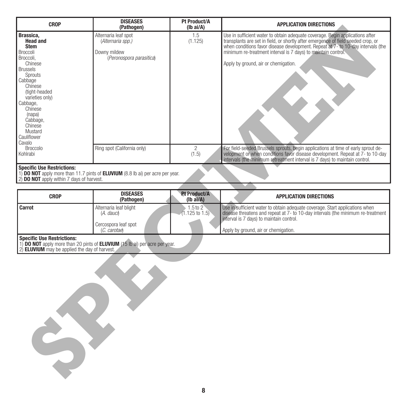| <b>CROP</b>                                                                                                                                                                                                                                               | <b>DISEASES</b><br>(Pathogen)                                                                                                                                                          | Pt Product/A<br>$(Ib\text{ ai/A})$                              | <b>APPLICATION DIRECTIONS</b>                                                                                                                                                                                                                                                                                                                                   |
|-----------------------------------------------------------------------------------------------------------------------------------------------------------------------------------------------------------------------------------------------------------|----------------------------------------------------------------------------------------------------------------------------------------------------------------------------------------|-----------------------------------------------------------------|-----------------------------------------------------------------------------------------------------------------------------------------------------------------------------------------------------------------------------------------------------------------------------------------------------------------------------------------------------------------|
| Brassica,<br><b>Head and</b><br><b>Stem</b><br>Broccoli<br>Broccoli,<br>Chinese<br><b>Brussels</b><br>Sprouts<br>Cabbage<br>Chinese<br>(tight-headed<br>varieties only)<br>Cabbage,<br>Chinese<br>(napa)<br>Cabbage,<br>Chinese<br>Mustard<br>Cauliflower | Alternaria leaf spot<br>(Alternaria spp.)<br>Downy mildew<br>(Peronospora parasitica)                                                                                                  | 1.5<br>(1.125)                                                  | Use in sufficient water to obtain adequate coverage. Begin applications after<br>transplants are set in field, or shortly after emergence of field seeded crop, or<br>when conditions favor disease development. Repeat at 7- to 10-day intervals (the<br>minimum re-treatment interval is 7 days) to maintain control.<br>Apply by ground, air or chemigation. |
| Cavalo<br>Broccolo<br>Kohlrabi                                                                                                                                                                                                                            | Ring spot (California only)                                                                                                                                                            | $\overline{2}$<br>(1.5)                                         | For field-seeded Brussels sprouts, begin applications at time of early sprout de-<br>velopment or when conditions favor disease development. Repeat at 7- to 10-day<br>intervals (the minimum retreatment interval is 7 days) to maintain control.                                                                                                              |
| <b>Specific Use Restrictions:</b><br>2) DO NOT apply within 7 days of harvest.                                                                                                                                                                            | 1) DO NOT apply more than 11.7 pints of ELUVIUM (8.8 lb ai) per acre per year.                                                                                                         |                                                                 |                                                                                                                                                                                                                                                                                                                                                                 |
| <b>CROP</b>                                                                                                                                                                                                                                               | <b>DISEASES</b>                                                                                                                                                                        | Pt Product/A                                                    | <b>APPLICATION DIRECTIONS</b>                                                                                                                                                                                                                                                                                                                                   |
| Carrot<br><b>Specific Use Restrictions:</b>                                                                                                                                                                                                               | (Pathogen)<br>Alternaria leaf blight<br>(A. dauch<br>Cercospora leaf spot<br>(C. carotae)<br>1) <b>DO NOT</b> apply more than 20 pints of <b>ELUVIUM</b> (15 lb ai) per acre per year. | $(Ib\text{ ai/A})$<br>$1.5$ to $2$<br>$(1.125 \text{ to } 1.5)$ | Use in sufficient water to obtain adequate coverage. Start applications when<br>disease threatens and repeat at 7- to 10-day intervals (the minimum re-treatment<br>interval is 7 days) to maintain control.<br>Apply by ground, air or chemigation.                                                                                                            |
| 2) <b>ELUVIUM</b> may be applied the day of harvest.                                                                                                                                                                                                      |                                                                                                                                                                                        |                                                                 |                                                                                                                                                                                                                                                                                                                                                                 |

| <b>CROP</b>                       | <b>DISEASES</b><br>(Pathogen)                                               | Pt Product/A<br>$(Ib\text{ ai/A})$         | <b>APPLICATION DIRECTIONS</b>                                                                                                                                                                                                                         |
|-----------------------------------|-----------------------------------------------------------------------------|--------------------------------------------|-------------------------------------------------------------------------------------------------------------------------------------------------------------------------------------------------------------------------------------------------------|
| Carrot                            | Alternaria leaf blight<br>(A. dauch<br>Cercospora leaf spot<br>(C. carotae) | $1.5$ to $23$<br>$(1.125 \text{ to } 1.5)$ | Use in sufficient water to obtain adequate coverage. Start applications when<br>disease threatens and repeat at 7- to 10-day intervals (the minimum re-treatment<br>linterval is 7 days) to maintain control.<br>Apply by ground, air or chemigation. |
| <b>Specific Use Restrictions:</b> |                                                                             |                                            |                                                                                                                                                                                                                                                       |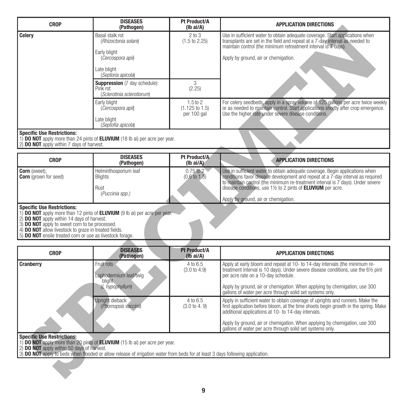| <b>CROP</b>                                                                                                                                                                                                                                                                                                                           | <b>DISEASES</b><br>(Pathogen)                                                             | Pt Product/A<br>$(Ib\text{ ai/A})$                       | <b>APPLICATION DIRECTIONS</b>                                                                                                                                                                                                                      |  |
|---------------------------------------------------------------------------------------------------------------------------------------------------------------------------------------------------------------------------------------------------------------------------------------------------------------------------------------|-------------------------------------------------------------------------------------------|----------------------------------------------------------|----------------------------------------------------------------------------------------------------------------------------------------------------------------------------------------------------------------------------------------------------|--|
| Celery                                                                                                                                                                                                                                                                                                                                | Basal stalk rot<br>(Rhizoctonia solani)                                                   | 2 to 3<br>(1.5 to 2.25)                                  | Use in sufficient water to obtain adequate coverage. Start applications when<br>transplants are set in the field and repeat at a 7-day interval as needed to<br>maintain control (the minimum retreatment interval is 7 days).                     |  |
|                                                                                                                                                                                                                                                                                                                                       | Early blight<br>(Cercospora apil)                                                         |                                                          | Apply by ground, air or chemigation.                                                                                                                                                                                                               |  |
|                                                                                                                                                                                                                                                                                                                                       | Late blight<br>(Septoria apicola)                                                         |                                                          |                                                                                                                                                                                                                                                    |  |
|                                                                                                                                                                                                                                                                                                                                       | <b>Suppression</b> (7 day schedule):<br>Pink rot<br>(Sclerotinia sclerotiorum)            | 3<br>(2.25)                                              |                                                                                                                                                                                                                                                    |  |
|                                                                                                                                                                                                                                                                                                                                       | Early blight<br>(Cercospora apily                                                         | $1.5$ to $2$<br>$(1.125 \text{ to } 1.5)$<br>per 100 gal | For celery seedbeds, apply in a spray volume of 125 gallons per acre twice weekly<br>or as needed to maintain control. Start applications shortly after crop emergence.<br>Use the higher rate under severe disease conditions.                    |  |
|                                                                                                                                                                                                                                                                                                                                       | Late blight<br>(Septofia apicola)                                                         |                                                          |                                                                                                                                                                                                                                                    |  |
| <b>Specific Use Restrictions:</b><br>2) DO NOT apply within 7 days of harvest.                                                                                                                                                                                                                                                        | 1) <b>DO NOT</b> apply more than 24 pints of <b>ELUVIUM</b> (18 lb ai) per acre per year. |                                                          |                                                                                                                                                                                                                                                    |  |
| <b>CROP</b>                                                                                                                                                                                                                                                                                                                           | <b>DISEASES</b><br>(Pathogen)                                                             | Pt Product/A<br>$(Ib\ ai/A)$                             | <b>APPLICATION DIRECTIONS</b>                                                                                                                                                                                                                      |  |
| Corn (sweet).<br>Corn (grown for seed)                                                                                                                                                                                                                                                                                                | Helminthosporium leaf<br><b>Blights</b>                                                   | $0.75$ to $2$<br>$(0.6 \text{ to } 1.5)$                 | Use in sufficient water to obtain adequate coverage. Begin applications when<br>conditions favor disease development and repeat at a 7-day interval as required<br>to maintain control (the minimum re-treatment interval is 7 days). Under severe |  |
|                                                                                                                                                                                                                                                                                                                                       | Rust<br>(Puccinia spp.)                                                                   |                                                          | disease conditions, use 11/2 to 2 pints of <b>ELUVIUM</b> per acre.<br>Apply by ground, air or chemigation.                                                                                                                                        |  |
| <b>Specific Use Restrictions:</b><br>1) DO NOT apply more than 12 pints of ELUVIUM (9 lb ai) per acre per year.<br>2) DO NOT apply within 14 days of harvest.<br>3) DO NOT apply to sweet corn to be processed.<br>4) DO NOT allow livestock to graze in treated fields.<br>5) DO NOT ensile treated corn or use as livestock forage. |                                                                                           |                                                          |                                                                                                                                                                                                                                                    |  |
| <b>CROP</b>                                                                                                                                                                                                                                                                                                                           | <b>DISEASES</b>                                                                           | Pt Product/A                                             |                                                                                                                                                                                                                                                    |  |
| Cranberry                                                                                                                                                                                                                                                                                                                             | (Pathogen)<br>Fruit rots                                                                  | $(Ib\text{ ai/A})$<br>4 to 6.5                           | <b>APPLICATION DIRECTIONS</b><br>Apply at early bloom and repeat at 10- to 14-day intervals (the minimum re-                                                                                                                                       |  |
|                                                                                                                                                                                                                                                                                                                                       | Lophodermium leaf/twig<br><b>blight</b>                                                   | (3.0 to 4.9)                                             | treatment interval is 10 days). Under severe disease conditions, use the 61/2 pint<br>per acre rate on a 10-day schedule.                                                                                                                          |  |
|                                                                                                                                                                                                                                                                                                                                       | (L hypophyllum)                                                                           |                                                          | Apply by ground, air or chemigation. When applying by chemigation, use 300<br>gallons of water per acre through solid set systems only.                                                                                                            |  |
|                                                                                                                                                                                                                                                                                                                                       | <b>Upright dieback</b><br>(Phomopsis vaccinii)                                            | 4 to 6.5<br>(3.0 to 4.9)                                 | Apply in sufficient water to obtain coverage of uprights and runners. Make the<br>first application before bloom, at the time shoots begin growth in the spring. Make<br>additional applications at 10- to 14-day intervals.                       |  |
|                                                                                                                                                                                                                                                                                                                                       |                                                                                           |                                                          | Apply by ground, air or chemigation. When applying by chemigation, use 300<br>gallons of water per acre through solid set systems only.                                                                                                            |  |
| <b>Specific Use Restrictions:</b><br>1) DO NOT apply more than 20 pints of ELUVIUM (15 lb al) per acre per year.<br>2) DO NOT apply within 50 days of harvest.<br>3) DO NOT apply to beds when flooded or allow release of irrigation water from beds for at least 3 days                                                             |                                                                                           |                                                          |                                                                                                                                                                                                                                                    |  |
|                                                                                                                                                                                                                                                                                                                                       |                                                                                           |                                                          |                                                                                                                                                                                                                                                    |  |

| <b>CROP</b>                                          | <b>DISEASES</b><br>(Pathogen)                                      | Pt Product/A<br>$(Ib\text{ ai/A})$       | <b>APPLICATION DIRECTIONS</b>                                                                                                                                                                                                                                                                                                                                   |
|------------------------------------------------------|--------------------------------------------------------------------|------------------------------------------|-----------------------------------------------------------------------------------------------------------------------------------------------------------------------------------------------------------------------------------------------------------------------------------------------------------------------------------------------------------------|
| <b>Corn</b> (sweet),<br><b>Corn</b> (grown for seed) | Helminthosporium leaf<br><b>Blights</b><br>Rust<br>(Puccinia spp.) | $0.75$ to $2$<br>$(0.6 \text{ to } 1.5)$ | Use in sufficient water to obtain adequate coverage. Begin applications when<br>conditions favor disease development and repeat at a 7-day interval as required<br>to maintain control (the minimum re-treatment interval is 7 days). Under severe<br>disease conditions, use 1% to 2 pints of <b>ELUVIUM</b> per acre.<br>Apply by ground, air or chemigation. |
| <b>Specific Use Restrictions:</b>                    |                                                                    |                                          |                                                                                                                                                                                                                                                                                                                                                                 |

| <b>CROP</b>      | <b>DISEASES</b><br>(Pathogen)                                      | Pt Product/A<br>$(Ib\text{ ai/A})$  | <b>APPLICATION DIRECTIONS</b>                                                                                                                                                                                                                                                                                                                                           |
|------------------|--------------------------------------------------------------------|-------------------------------------|-------------------------------------------------------------------------------------------------------------------------------------------------------------------------------------------------------------------------------------------------------------------------------------------------------------------------------------------------------------------------|
| <b>Cranberry</b> | Fruit rots<br>Lophodermium leaf/twig<br>blight.<br>(L hypophyllum) | 4 to 6.5<br>(3.0 to 4.9)            | Apply at early bloom and repeat at 10- to 14-day intervals (the minimum re-<br>treatment interval is 10 days). Under severe disease conditions, use the 61/2 pint<br>per acre rate on a 10-day schedule.<br>Apply by ground, air or chemigation. When applying by chemigation, use 300<br>gallons of water per acre through solid set systems only.                     |
|                  | <b>Upright dieback</b><br>(Phomopsis vaccinii)                     | 4 to 6.5<br>$(3.0 \text{ to } 4.9)$ | Apply in sufficient water to obtain coverage of uprights and runners. Make the<br>first application before bloom, at the time shoots begin growth in the spring. Make<br>additional applications at 10- to 14-day intervals.<br>Apply by ground, air or chemigation. When applying by chemigation, use 300<br>gallons of water per acre through solid set systems only. |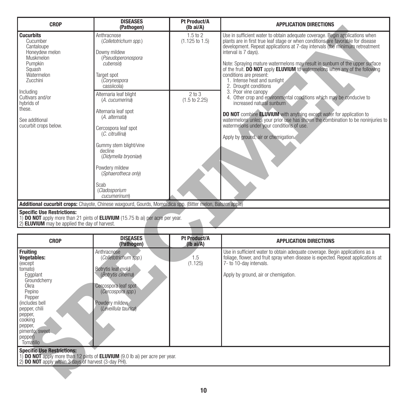| <b>CROP</b>                                                                                                                                                                                                                                                       | <b>DISEASES</b><br>(Pathogen)                                                                                                                                                                                                                                                                                                                                                                                                                                                                                                     | Pt Product/A<br>$(Ib\text{ ai/A})$                               | <b>APPLICATION DIRECTIONS</b>                                                                                                                                                                                                                                                                                                                                                                                                                                                                                                                                                                                                                                                                                                                                                                                                                                                                            |
|-------------------------------------------------------------------------------------------------------------------------------------------------------------------------------------------------------------------------------------------------------------------|-----------------------------------------------------------------------------------------------------------------------------------------------------------------------------------------------------------------------------------------------------------------------------------------------------------------------------------------------------------------------------------------------------------------------------------------------------------------------------------------------------------------------------------|------------------------------------------------------------------|----------------------------------------------------------------------------------------------------------------------------------------------------------------------------------------------------------------------------------------------------------------------------------------------------------------------------------------------------------------------------------------------------------------------------------------------------------------------------------------------------------------------------------------------------------------------------------------------------------------------------------------------------------------------------------------------------------------------------------------------------------------------------------------------------------------------------------------------------------------------------------------------------------|
| <b>Cucurbits</b><br>Cucumber<br>Cantaloupe<br>Honeydew melon<br>Muskmelon<br>Pumpkin<br>Squash<br>Watermelon<br>Zucchini<br>Includina<br>Cultivars and/or<br>hybrids of<br>these.<br>See additional<br>cucurbit crops below.<br><b>Specific Use Restrictions:</b> | Anthracnose<br>(Colletotrichum spp.)<br>Downy mildew<br>(Pseudoperonospora<br>cubensis<br>Target spot<br>(Corynespora<br>cassiicola)<br>Alternaria leaf blight<br>(A. cucumerina)<br>Alternaria leaf spot<br>(A. alternata)<br>Cercospora leaf spot<br>(C. citrullina)<br>Gummy stem blight/vine<br>decline<br>(Didymella bryoniae)<br>Powdery mildew<br>(Sphaerotheca only)<br>Scab<br>(Cladosporium<br>cucumerinum<br>Additional cucurbit crops: Chayote, Chinese waxgourd, Gourds, Momordica spp. (Bitter melon, Balsam apple) | 1.5 to 2<br>$(1.125 \text{ to } 1.5)$<br>2 to 3<br>(1.5 to 2.25) | Use in sufficient water to obtain adequate coverage. Begin applications when<br>plants are in first true leaf stage or when conditions are favorable for disease<br>development. Repeat applications at 7-day intervals (the minimum retreatment<br>interval is 7 days).<br>Note: Spraving mature watermelons may result in sunburn of the upper surface<br>of the fruit. DO NOT apply ELUVIUM to watermelons when any of the following<br>conditions are present:<br>1. Intense heat and sunlight<br>2. Drought conditions<br>3. Poor vine canopy<br>4. Other crop and environmental conditions which may be conducive to<br>increased natural sunburn<br>DO NOT combine ELUVIUM with anything except water for application to<br>watermelons unless your prior use has shown the combination to be noninjuries to<br>watermelons under your conditions of use.<br>Apply by ground, air or chemigation. |
| 2) <b>ELUVIUM</b> may be applied the day of harvest.                                                                                                                                                                                                              | 1) <b>DO NOT</b> apply more than 21 pints of <b>ELUVIUM</b> (15.75 lb ai) per acre per year.                                                                                                                                                                                                                                                                                                                                                                                                                                      |                                                                  |                                                                                                                                                                                                                                                                                                                                                                                                                                                                                                                                                                                                                                                                                                                                                                                                                                                                                                          |
| <b>CROP</b>                                                                                                                                                                                                                                                       | <b>DISEASES</b><br>(Pathogen)                                                                                                                                                                                                                                                                                                                                                                                                                                                                                                     | Pt Product/A<br>$(Ib\text{ ai/A})$                               | <b>APPLICATION DIRECTIONS</b>                                                                                                                                                                                                                                                                                                                                                                                                                                                                                                                                                                                                                                                                                                                                                                                                                                                                            |
| <b>Fruiting</b><br>Vegetables:<br><i>(except</i><br>tomato)<br>Eggplant<br>Groundcherry<br>Okra<br>Pepino<br>Pepper<br>(includes bell<br>pepper, chili<br>pepper,<br>cooking<br>pepper,<br>pimento, sweet<br>pepper)<br>Tomatillo                                 | Anthracnose<br>(Colletotrichum spp.)<br>Botrytis leaf mold<br>(Botrytis cinema)<br>Cercospora leaf spot<br>(Cercospora spp.)<br>Powdery mildew<br>(Leveillula taurica)                                                                                                                                                                                                                                                                                                                                                            | 1.5<br>(1.125)                                                   | Use in sufficient water to obtain adequate coverage. Begin applications as a<br>foliage, flower, and fruit spray when disease is expected. Repeat applications at<br>7- to 10-day intervals.<br>Apply by ground, air or chemigation.                                                                                                                                                                                                                                                                                                                                                                                                                                                                                                                                                                                                                                                                     |
| <b>Specific Use Restrictions:</b><br>2) DO NOT apply within 3 days of harvest (3-day PHI).                                                                                                                                                                        | 1) DO NOT apply more than 12 pints of ELUVIUM (9.0 lb ai) per acre per year.                                                                                                                                                                                                                                                                                                                                                                                                                                                      |                                                                  |                                                                                                                                                                                                                                                                                                                                                                                                                                                                                                                                                                                                                                                                                                                                                                                                                                                                                                          |

| 2) <b>ELUVIUM</b> may be applied the day of harvest. |
|------------------------------------------------------|
|------------------------------------------------------|

| <b>CROP</b>                                                                                                                                                                                                                             | <b>DISEASES</b><br>(Pathogen)                                                                                                                                          | <b>Pt Product/A</b><br>$(lb\text{ ai/A})$ | <b>APPLICATION DIRECTIONS</b>                                                                                                                                                                                                        |
|-----------------------------------------------------------------------------------------------------------------------------------------------------------------------------------------------------------------------------------------|------------------------------------------------------------------------------------------------------------------------------------------------------------------------|-------------------------------------------|--------------------------------------------------------------------------------------------------------------------------------------------------------------------------------------------------------------------------------------|
| <b>Fruiting</b><br><b>Vegetables:</b><br>except<br>tomato)<br>Eggplant<br>Groundcherry<br>Okra<br>Pepino<br>Pepper<br>(includes bell<br>pepper, chili<br>pepper,<br>cooking<br>pepper,<br>pimento, sweet<br>pepper)<br><b>Tomatillo</b> | Anthracnose<br>(Colletotrichum spp.)<br>Botrytis leaf mold<br>(Botrytis cinema)<br>Cercospora leaf spot<br>(Cercospora spp.)<br>Powdery mildew<br>(Leveillula taurica) | 1.5<br>(1.125)                            | Use in sufficient water to obtain adequate coverage. Begin applications as a<br>foliage, flower, and fruit spray when disease is expected. Repeat applications at<br>7- to 10-day intervals.<br>Apply by ground, air or chemigation. |
| <b>Specific Use Restrictions:</b><br>1) DO NOT apply more than 12 pints of <b>ELUVIUM</b> (9.0 lb ai) per acre per year.<br>2) DO NOT apply within 3 days of harvest (3-day PHI).                                                       |                                                                                                                                                                        |                                           |                                                                                                                                                                                                                                      |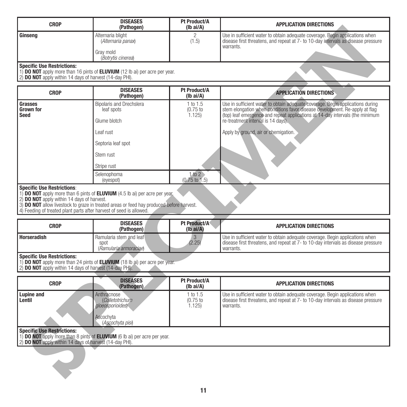| <b>CROP</b> | <b>DISEASES</b><br>(Pathogen)                                              | Pt Product/A<br>$(Ib\text{ ai/A})$ | <b>APPLICATION DIRECTIONS</b>                                                                                                                                                  |
|-------------|----------------------------------------------------------------------------|------------------------------------|--------------------------------------------------------------------------------------------------------------------------------------------------------------------------------|
| Ginsena     | Alternaria blight<br>(Alternaria panax)<br>Grav mold<br>(Botrytis cinerea) | (1.5)                              | Use in sufficient water to obtain adequate coverage. Begin applications when<br>disease first threatens, and repeat at 7- to 10-day intervals as disease pressure<br>warrants. |

|                                                                                                                                                                                                                                                                                                                                                               | (Pathogen)                                                                                                                                           | (lb ai/A)                          | <u>UMI IUN DINLUTIUI</u>                                                                                                                                                                                                                                                             |  |  |
|---------------------------------------------------------------------------------------------------------------------------------------------------------------------------------------------------------------------------------------------------------------------------------------------------------------------------------------------------------------|------------------------------------------------------------------------------------------------------------------------------------------------------|------------------------------------|--------------------------------------------------------------------------------------------------------------------------------------------------------------------------------------------------------------------------------------------------------------------------------------|--|--|
| Ginseng                                                                                                                                                                                                                                                                                                                                                       | Alternaria blight<br>(Alternaria panax)<br>Grav mold<br>(Botrytis cinerea)                                                                           | $\mathfrak{p}$<br>(1.5)            | Use in sufficient water to obtain adequate coverage. Begin applications when<br>disease first threatens, and repeat at 7- to 10-day intervals as disease pressure<br>warrants.                                                                                                       |  |  |
| <b>Specific Use Restrictions:</b>                                                                                                                                                                                                                                                                                                                             | 1) <b>DO NOT</b> apply more than 16 pints of <b>ELUVIUM</b> (12 lb ai) per acre per year.<br>2) DO NOT apply within 14 days of harvest (14-day PHI). |                                    |                                                                                                                                                                                                                                                                                      |  |  |
|                                                                                                                                                                                                                                                                                                                                                               |                                                                                                                                                      |                                    |                                                                                                                                                                                                                                                                                      |  |  |
| <b>CROP</b>                                                                                                                                                                                                                                                                                                                                                   | <b>DISEASES</b><br>(Pathogen)                                                                                                                        | Pt Product/A<br>$(Ib\text{ ai/A})$ | <b>APPLICATION DIRECTIONS</b>                                                                                                                                                                                                                                                        |  |  |
| Grasses<br>Grown for<br>Seed                                                                                                                                                                                                                                                                                                                                  | <b>Bipolaris and Drechslera</b><br>leaf spots<br>Glume blotch                                                                                        | 1 to 1.5<br>(0.75 to<br>1.125      | Use in sufficient water to obtain adequate coverage. Begin applications during<br>stem elongation when conditions favor disease development. Re-apply at flag<br>(top) leaf emergence and repeat applications at 14-day intervals (the minimum<br>re-treatment interval is 14 days). |  |  |
|                                                                                                                                                                                                                                                                                                                                                               | Leaf rust<br>Septoria leaf spot                                                                                                                      |                                    | Apply by ground, air or chemigation.                                                                                                                                                                                                                                                 |  |  |
|                                                                                                                                                                                                                                                                                                                                                               | Stem rust                                                                                                                                            |                                    |                                                                                                                                                                                                                                                                                      |  |  |
|                                                                                                                                                                                                                                                                                                                                                               | Stripe rust                                                                                                                                          |                                    |                                                                                                                                                                                                                                                                                      |  |  |
|                                                                                                                                                                                                                                                                                                                                                               | Selenophoma<br>(eyespot)                                                                                                                             | 1 to 2<br>$(0.75 \text{ to } 1.5)$ |                                                                                                                                                                                                                                                                                      |  |  |
| <b>Specific Use Restrictions:</b><br>1) <b>DO NOT</b> apply more than 6 pints of <b>ELUVIUM</b> (4.5 lb ai) per acre per year.<br>2) <b>DO NOT</b> apply within 14 days of harvest.<br>3) <b>DO NOT</b> allow livestock to graze in treated areas or feed hay produced before harvest.<br>4) Feeding of treated plant parts after harvest of seed is allowed. |                                                                                                                                                      |                                    |                                                                                                                                                                                                                                                                                      |  |  |
|                                                                                                                                                                                                                                                                                                                                                               |                                                                                                                                                      |                                    |                                                                                                                                                                                                                                                                                      |  |  |
| <b>CROP</b>                                                                                                                                                                                                                                                                                                                                                   | <b>DISEASES</b><br>(Pathogen)                                                                                                                        | Pt Product/A<br>$(lb\text{ ai/A})$ | <b>APPLICATION DIRECTIONS</b>                                                                                                                                                                                                                                                        |  |  |
| Horseradish                                                                                                                                                                                                                                                                                                                                                   | Ramularia stem and leaf<br>spot<br>(Ramularia armoraciae)                                                                                            | 3<br>(2.25)                        | Use in sufficient water to obtain adequate coverage. Begin applications when<br>disease first threatens, and repeat at 7- to 10-day intervals as disease pressure<br>warrants.                                                                                                       |  |  |
| <b>Specific Use Restrictions:</b>                                                                                                                                                                                                                                                                                                                             | 1) <b>DO NOT</b> apply more than 24 pints of <b>ELUVIUM</b> (18 lb ai) per acre per year.                                                            |                                    |                                                                                                                                                                                                                                                                                      |  |  |
| <b>CROP</b>                                                                                                                                                                                                                                                                                                                                                   | <b>DISEASES</b><br>(Pathogen)                                                                                                                        | Pt Product/A<br>$(Ib\text{ ai/A})$ | <b>APPLICATION DIRECTIONS</b>                                                                                                                                                                                                                                                        |  |  |
| 2) DO NOT apply within 14 days of harvest (14-day PHI).<br><b>Lupine and</b><br>Lentil                                                                                                                                                                                                                                                                        | Anthracnose<br>(Colletotrichum<br>gloeosporioides)                                                                                                   | 1 to 1.5<br>$(0.75$ to<br>1.125    | Use in sufficient water to obtain adequate coverage. Begin applications when<br>disease first threatens, and repeat at 7- to 10-day intervals as disease pressure<br>warrants.                                                                                                       |  |  |
|                                                                                                                                                                                                                                                                                                                                                               | Ascochyta<br>(Ascochyta pisi)                                                                                                                        |                                    |                                                                                                                                                                                                                                                                                      |  |  |
| <b>Specific Use Restrictions:</b>                                                                                                                                                                                                                                                                                                                             | 1) DO NOT apply more than 8 pints of ELUVIUM (6 lb ai) per acre per year.<br>2) DO NOT apply within 14 days of harvest (14-day PHI).                 |                                    |                                                                                                                                                                                                                                                                                      |  |  |

| CROP               | <b>DISEASES</b><br>(Pathogen)                                | Pt Product/A<br>$(Ib\text{ ai/A})$ | <b>APPLICATION DIRECTIONS</b>                                                                                                                                                  |
|--------------------|--------------------------------------------------------------|------------------------------------|--------------------------------------------------------------------------------------------------------------------------------------------------------------------------------|
| <b>Horseradish</b> | l Ramularia stem and leafl<br>spot<br>(Ramularia armoraciae) | (2.25)                             | Use in sufficient water to obtain adequate coverage. Begin applications when<br>disease first threatens, and repeat at 7- to 10-day intervals as disease pressure<br>warrants. |

## Specific Use Restrictions:

| <b>CROP</b>                 | <b>DISEASES</b><br>(Pathogen)                                                       | Pt Product/A<br>$(Ib\text{ ai/A})$ | <b>APPLICATION DIRECTIONS</b>                                                                                                                                                  |  |  |
|-----------------------------|-------------------------------------------------------------------------------------|------------------------------------|--------------------------------------------------------------------------------------------------------------------------------------------------------------------------------|--|--|
| <b>Lupine and</b><br>Lentil | Anthracnose<br>(Colletotrichum<br>aloeosporioides)<br>Ascochyta<br>(Ascochyta pisi) | 1 to 1.5<br>$(0.75)$ to<br>1.125   | Use in sufficient water to obtain adequate coverage. Begin applications when<br>disease first threatens, and repeat at 7- to 10-day intervals as disease pressure<br>warrants. |  |  |
| Specific Use Restrictions:  | 1) DO NOT apply more than 8 pints of FLINILIM (6 lb ai) per acre per year           |                                    |                                                                                                                                                                                |  |  |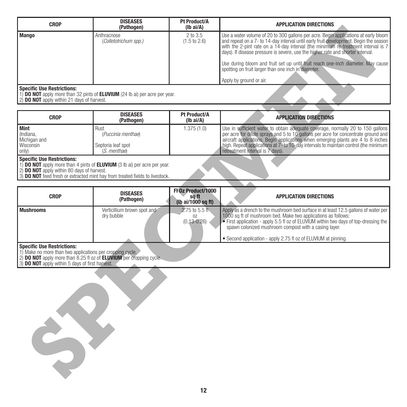| <b>CROP</b>                                                                     | <b>DISEASES</b><br>(Pathogen)                                                                                                                                                              | Pt Product/A<br>$(lb\text{ ai/A})$                | <b>APPLICATION DIRECTIONS</b>                                                                                                                                                                                                                                                                                                                                                         |  |  |
|---------------------------------------------------------------------------------|--------------------------------------------------------------------------------------------------------------------------------------------------------------------------------------------|---------------------------------------------------|---------------------------------------------------------------------------------------------------------------------------------------------------------------------------------------------------------------------------------------------------------------------------------------------------------------------------------------------------------------------------------------|--|--|
| <b>Mango</b>                                                                    | Anthracnose<br>(Colletotrichum spp.)                                                                                                                                                       | 2 to 3.5<br>(1.5 to 2.6)                          | Use a water volume of 20 to 300 gallons per acre. Begin applications at early bloom<br>and repeat on a 7- to 14-day interval until early fruit development. Begin the season<br>with the 2-pint rate on a 14-day interval (the minimum re-treatment interval is 7<br>days). If disease pressure is severe, use the higher rate and shorter interval.                                  |  |  |
|                                                                                 |                                                                                                                                                                                            |                                                   | Use during bloom and fruit set up until fruit reach one-inch diameter. May cause<br>spotting on fruit larger than one inch in diameter.                                                                                                                                                                                                                                               |  |  |
|                                                                                 |                                                                                                                                                                                            |                                                   | Apply by ground or air.                                                                                                                                                                                                                                                                                                                                                               |  |  |
| <b>Specific Use Restrictions:</b><br>2) DO NOT apply within 21 days of harvest. | 1) <b>DO NOT</b> apply more than 32 pints of <b>ELUVIUM</b> (24 lb ai) per acre per year.                                                                                                  |                                                   |                                                                                                                                                                                                                                                                                                                                                                                       |  |  |
|                                                                                 | <b>DISEASES</b>                                                                                                                                                                            | Pt Product/A                                      |                                                                                                                                                                                                                                                                                                                                                                                       |  |  |
| <b>CROP</b>                                                                     | (Pathogen)                                                                                                                                                                                 | $(Ib\text{ ai/A})$                                | <b>APPLICATION DIRECTIONS</b>                                                                                                                                                                                                                                                                                                                                                         |  |  |
| Mint<br>Indiana.<br>Michigan and<br>Wisconsin<br>only)                          | Rust<br>(Puccinia menthae)<br>Septoria leaf spot<br>(S. menthae)                                                                                                                           | 1.375(1.0)                                        | Use in sufficient water to obtain adequate coverage, normally 20 to 150 gallons<br>per acre for dilute sprays and 5 to 10 gallons per acre for concentrate ground and<br>aircraft applications. Begin applications when emerging plants are 4 to 8 inches<br>high. Repeat applications at 7- to 10-day intervals to maintain control (the minimum<br>retreatment interval is 7 days). |  |  |
| <b>Specific Use Restrictions:</b><br>2) DO NOT apply within 80 days of harvest. | 1) <b>DO NOT</b> apply more than 4 pints of <b>ELUVIUM</b> (3 lb ai) per acre per year.<br>3) DO NOT feed fresh or extracted mint hay from treated fields to livestock.                    |                                                   |                                                                                                                                                                                                                                                                                                                                                                                       |  |  |
|                                                                                 |                                                                                                                                                                                            |                                                   |                                                                                                                                                                                                                                                                                                                                                                                       |  |  |
| <b>CROP</b>                                                                     | <b>DISEASES</b><br>(Pathogen)                                                                                                                                                              | FI 0z Product/1000<br>sa ft<br>(Ib ai/1000 sq ft) | <b>APPLICATION DIRECTIONS</b>                                                                                                                                                                                                                                                                                                                                                         |  |  |
| <b>Mushrooms</b>                                                                | Verticillium brown spot and<br>dry bubble                                                                                                                                                  | 2.75 to 5.5 fl<br>07<br>$(0.13 - 0.26)$           | Apply as a drench to the mushroom bed surface in at least 12.5 gallons of water per<br>1000 sq ft of mushroom bed. Make two applications as follows:<br>• First application - apply 5.5 fl oz of ELUVIUM within two days of top-dressing the<br>spawn colonized mushroom compost with a casing layer.<br>· Second application - apply 2.75 fl oz of ELUVIUM at pinning.               |  |  |
| <b>Specific Use Restrictions:</b>                                               | 1) Make no more than two applications per cropping cycle.<br>2) DO NOT apply more than 8.25 fl oz of <b>ELUVIUM</b> per cropping cycle.<br>3) DO NOT apply within 5 days of first harvest. |                                                   |                                                                                                                                                                                                                                                                                                                                                                                       |  |  |
|                                                                                 |                                                                                                                                                                                            |                                                   |                                                                                                                                                                                                                                                                                                                                                                                       |  |  |

| <b>CROP</b>                                                           | <b>DISEASES</b><br>(Pathogen)                                    | Pt Product/A<br>$(Ib\text{ ai/A})$ | <b>APPLICATION DIRECTIONS</b>                                                                                                                                                                                                                                                                                                                                                          |
|-----------------------------------------------------------------------|------------------------------------------------------------------|------------------------------------|----------------------------------------------------------------------------------------------------------------------------------------------------------------------------------------------------------------------------------------------------------------------------------------------------------------------------------------------------------------------------------------|
| <b>Mint</b><br>(Indiana,<br>Michigan and<br><b>Wisconsin</b><br>only) | Rust<br>(Puccinia menthae)<br>Septoria leaf spot<br>(S. menthae) | 1.375(1.0)                         | Use in sufficient water to obtain adequate coverage, normally 20 to 150 gallons<br>per acre for dilute sprays and 5 to 10 gallons per acre for concentrate ground and<br>aircraft applications. Begin applications when emerging plants are 4 to 8 inches<br>Lhigh, Repeat applications at 7- to 10-day intervals to maintain control (the minimum<br>retreatment interval is 7 days). |
| Canaifia Ilaa Daabiationau                                            |                                                                  |                                    |                                                                                                                                                                                                                                                                                                                                                                                        |

| <b>CROP</b>                | <b>DISEASES</b><br>(Pathogen)                           | FI 0z Product/1000<br>sq ft<br>(Ib ai/1000 sq ft) | <b>APPLICATION DIRECTIONS</b>                                                                                                                                                                                                                                                                                                                                                          |  |  |
|----------------------------|---------------------------------------------------------|---------------------------------------------------|----------------------------------------------------------------------------------------------------------------------------------------------------------------------------------------------------------------------------------------------------------------------------------------------------------------------------------------------------------------------------------------|--|--|
| <b>Mushrooms</b>           | Verticillium brown spot and<br>dry bubble               | 2.75 to 5.5 fl<br>$(0.13 - 0.26)$                 | Apply as a drench to the mushroom bed surface in at least 12.5 gallons of water per<br>1000 sq ft of mushroom bed. Make two applications as follows:<br>$\triangleright$ First application - apply 5.5 fl oz of ELUVIUM within two days of top-dressing the<br>spawn colonized mushroom compost with a casing layer.<br>• Second application - apply 2.75 fl oz of ELUVIUM at pinning. |  |  |
| Specific Use Restrictions: | 1) Make no more than two annications per cropping cycle |                                                   |                                                                                                                                                                                                                                                                                                                                                                                        |  |  |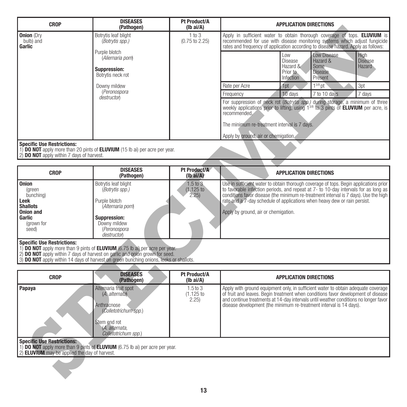| <b>CROP</b>                                                                        | <b>DISEASES</b><br>(Pathogen)                                                                                                                                                                                                                                               | Pt Product/A<br>$(Ib\text{ ai/A})$  | <b>APPLICATION DIRECTIONS</b>                                                                                                                                                                                                                                                                                                                     |
|------------------------------------------------------------------------------------|-----------------------------------------------------------------------------------------------------------------------------------------------------------------------------------------------------------------------------------------------------------------------------|-------------------------------------|---------------------------------------------------------------------------------------------------------------------------------------------------------------------------------------------------------------------------------------------------------------------------------------------------------------------------------------------------|
| <b>Onion (Dry</b><br>bulb) and<br>Garlic                                           | Botrytis leaf blight<br>(Botrytis spp.)                                                                                                                                                                                                                                     | 1 to 3<br>$(0.75 \text{ to } 2.25)$ | Apply in sufficient water to obtain thorough coverage of tops. ELUVIUM is<br>recommended for use with disease monitoring systems which adjust fungicide<br>rates and frequency of application according to disease hazard. Apply as follows:                                                                                                      |
|                                                                                    | Purple blotch<br>(Aliernaria pom)                                                                                                                                                                                                                                           |                                     | <b>Low Disease</b><br>l ow<br>High<br><b>Disease</b><br><b>Disease</b><br>Hazard &<br>Hazard &<br>Some<br>Hazard                                                                                                                                                                                                                                  |
|                                                                                    | <b>Suppression:</b><br>Botrytis neck rot                                                                                                                                                                                                                                    |                                     | Disease.<br>Prior to.<br>Infection<br>Present                                                                                                                                                                                                                                                                                                     |
|                                                                                    | Downy mildew<br>(Peronospora                                                                                                                                                                                                                                                |                                     | $1^{3/8}$ pt<br>Rate per Acre<br>1pt<br>3pt<br>10 days<br>7 to 10 days<br>7 days<br>Frequency                                                                                                                                                                                                                                                     |
|                                                                                    | <i>destructor</i> )                                                                                                                                                                                                                                                         |                                     | For suppression of neck rot (Botrytis spp.) during storage, a minimum of three<br>weekly applications prior to lifting, using 1 <sup>3/8</sup> to 3 pints of <b>ELUVIUM</b> per acre, is<br>recommended.<br>The minimum re-treatment interval is 7 days.                                                                                          |
|                                                                                    |                                                                                                                                                                                                                                                                             |                                     | Apply by ground, air or chemigation,                                                                                                                                                                                                                                                                                                              |
| <b>Specific Use Restrictions:</b><br>2) DO NOT apply within 7 days of harvest.     | 1) <b>DO NOT</b> apply more than 20 pints of <b>ELUVIUM</b> (15 lb ai) per acre per year.                                                                                                                                                                                   |                                     |                                                                                                                                                                                                                                                                                                                                                   |
| <b>CROP</b>                                                                        | <b>DISEASES</b><br>(Pathogen)                                                                                                                                                                                                                                               | Pt Product/A<br>$(Ib\text{ ai/A})$  | <b>APPLICATION DIRECTIONS</b>                                                                                                                                                                                                                                                                                                                     |
| <b>Onion</b><br>(green<br>bunching)<br>Leek                                        | Botrytis leaf blight<br>(Botrytis spp.)<br>Purple blotch                                                                                                                                                                                                                    | $1.5$ to $3$<br>(1.125 to<br>2.25   | Use in sufficient water to obtain thorough coverage of tops. Begin applications prior<br>to favorable infection periods, and repeat at 7- to 10-day intervals for as long as<br>conditions favor disease (the minimum re-treatment interval is 7 days). Use the high<br>rate and a 7-day schedule of applications when heavy dew or rain persist. |
| <b>Shallots</b><br><b>Onion and</b>                                                | (Alternaria porri)                                                                                                                                                                                                                                                          |                                     | Apply by ground, air or chemigation.                                                                                                                                                                                                                                                                                                              |
| Garlic<br>(grown for<br>seed)                                                      | Suppression:<br>Downy mildew<br>(Peronospora<br>destructor                                                                                                                                                                                                                  |                                     |                                                                                                                                                                                                                                                                                                                                                   |
| <b>Specific Use Restrictions:</b>                                                  | 1) <b>DO NOT</b> apply more than 9 pints of <b>ELUVIUM</b> (6.75 lb ai) per acre per year.<br>2) DO NOT apply within 7 days of harvest on garlic and onion grown for seed.<br>3) <b>DO NOT</b> apply within 14 days of harvest on green bunching onions, leeks or shallots. |                                     |                                                                                                                                                                                                                                                                                                                                                   |
| <b>CROP</b>                                                                        | <b>DISEASES</b><br>(Pathogen)                                                                                                                                                                                                                                               | Pt Product/A<br>$(Ib\text{ ai/A})$  | <b>APPLICATION DIRECTIONS</b>                                                                                                                                                                                                                                                                                                                     |
| Papaya                                                                             | Alternaria fruit spot<br>(A. alternata)<br>Anthracnose<br>(Colletotrichum spp.)                                                                                                                                                                                             | $1.5$ to $3$<br>(1.125 to<br>2.25)  | Apply with ground equipment only, in sufficient water to obtain adequate coverage<br>of fruit and leaves. Begin treatment when conditions favor development of disease<br>and continue treatments at 14-day intervals until weather conditions no longer favor<br>disease development (the minimum re-treatment interval is 14 days).             |
|                                                                                    | Stem end rot<br>(A. alternata.<br>Colletotrichum spp.)                                                                                                                                                                                                                      |                                     |                                                                                                                                                                                                                                                                                                                                                   |
| <b>Specific Use Restrictions:</b><br>2) ELUVIUM may be applied the day of harvest. | 1) DO NOT apply more than 9 pints of <b>ELUVIUM</b> (6.75 lb ai) per acre per year.                                                                                                                                                                                         |                                     |                                                                                                                                                                                                                                                                                                                                                   |
|                                                                                    |                                                                                                                                                                                                                                                                             |                                     |                                                                                                                                                                                                                                                                                                                                                   |

| <b>CROP</b>                                                                                                         | <b>DISEASES</b><br>(Pathogen)                                                                                                                        | Pt Product/A<br>$(Ib\text{ ai/A})$   | <b>APPLICATION DIRECTIONS</b>                                                                                                                                                                                                                                                                                                                                                             |  |
|---------------------------------------------------------------------------------------------------------------------|------------------------------------------------------------------------------------------------------------------------------------------------------|--------------------------------------|-------------------------------------------------------------------------------------------------------------------------------------------------------------------------------------------------------------------------------------------------------------------------------------------------------------------------------------------------------------------------------------------|--|
| <b>Onion</b><br>(green<br>bunching)<br>Leek<br><b>Shallots</b><br><b>Onion and</b><br>Garlic<br>(grown for<br>seed) | Botrytis leaf blight<br><i>(Botrytis spp.)</i><br>Purple blotch<br>(Alternaria porri)<br>Suppression:<br>Downy mildew<br>(Peronospora)<br>destructon | $1.5$ to $3$<br>$(1.125)$ to<br>2.25 | Use in sufficient water to obtain thorough coverage of tops. Begin applications prior<br>to favorable infection periods, and repeat at 7- to 10-day intervals for as long as<br>conditions favor disease (the minimum re-treatment interval is 7 days). Use the high<br>rate and a 7-day schedule of applications when heavy dew or rain persist.<br>Apply by ground, air or chemigation. |  |
| <b>Specific Use Restrictions:</b><br>) DO NOT apply more than 9 pints of ELUVIUM (6.75 lb ai) per acre per year.    |                                                                                                                                                      |                                      |                                                                                                                                                                                                                                                                                                                                                                                           |  |

| <b>CROP</b>                | <b>DISEASES</b><br>(Pathogen)                                                                                                             | Pt Product/A<br>$(Ib\text{ ai/A})$  | <b>APPLICATION DIRECTIONS</b>                                                                                                                                                                                                                                                                                                         |
|----------------------------|-------------------------------------------------------------------------------------------------------------------------------------------|-------------------------------------|---------------------------------------------------------------------------------------------------------------------------------------------------------------------------------------------------------------------------------------------------------------------------------------------------------------------------------------|
| Papaya                     | Alternaria fruit spot<br>(A. alternata)<br>Anthracnose<br>(Colletotrichum spp.)<br>Stem end rot<br>(A. alternata.<br>Colletotrichum spp.) | $1.5$ to $3$<br>$(1.125$ to<br>2.25 | Apply with ground equipment only, in sufficient water to obtain adequate coverage<br>of fruit and leaves. Begin treatment when conditions favor development of disease<br>and continue treatments at 14-day intervals until weather conditions no longer favor<br>disease development (the minimum re-treatment interval is 14 days). |
| Specific Use Restrictions: |                                                                                                                                           |                                     |                                                                                                                                                                                                                                                                                                                                       |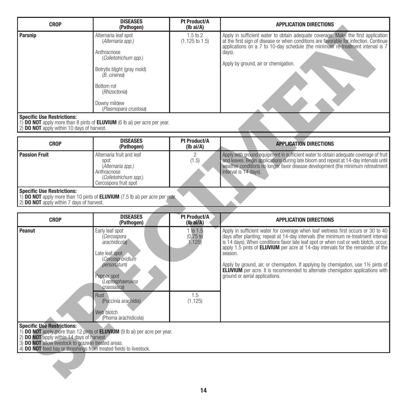| <b>CROP</b>                                                                     | <b>DISEASES</b><br>(Pathogen)                                                                                                                                                                            | Pt Product/A<br>( $\mathsf{lb}$ ai/A) | <b>APPLICATION DIRECTIONS</b>                                                                                                                                                                                                                                                                                  |
|---------------------------------------------------------------------------------|----------------------------------------------------------------------------------------------------------------------------------------------------------------------------------------------------------|---------------------------------------|----------------------------------------------------------------------------------------------------------------------------------------------------------------------------------------------------------------------------------------------------------------------------------------------------------------|
| Parsnip                                                                         | Alternaria leaf spot<br>(Alternaria spp.)<br>Anthracnose<br>(Colletotrichum spp.)<br>Botrytis blight (gray mold)<br>(B. cinerea)<br>Bottom rot<br>(Rhizoctonia)<br>Downy mildew<br>(Plasmopara crustosa) | 1.5 to 2<br>$(1.125 \text{ to } 1.5)$ | Apply in sufficient water to obtain adequate coverage. Make the first application<br>at the first sign of disease or when conditions are favorable for infection. Continue<br>applications on a 7 to 10-day schedule (the minimum re-treatment interval is 7<br>days).<br>Apply by ground, air or chemigation. |
| <b>Specific Use Restrictions:</b><br>2) DO NOT apply within 10 days of harvest. | <b>DO NOT</b> apply more than 8 pints of <b>ELUVIUM</b> (6 lb ai) per acre per year.                                                                                                                     |                                       |                                                                                                                                                                                                                                                                                                                |

## Specific Use Restrictions:

|                                                                                                                                                                                                                      | (Pathogen)                                                                                                                                                                                                                                                                                          | (lb ai/A)                                     |                                                                                                                                                                                                                                                                                                                                                                                                                                                                                                                                                                                                                  |
|----------------------------------------------------------------------------------------------------------------------------------------------------------------------------------------------------------------------|-----------------------------------------------------------------------------------------------------------------------------------------------------------------------------------------------------------------------------------------------------------------------------------------------------|-----------------------------------------------|------------------------------------------------------------------------------------------------------------------------------------------------------------------------------------------------------------------------------------------------------------------------------------------------------------------------------------------------------------------------------------------------------------------------------------------------------------------------------------------------------------------------------------------------------------------------------------------------------------------|
| Parsnip<br><b>Specific Use Restrictions:</b><br>2) DO NOT apply within 10 days of harvest.                                                                                                                           | Alternaria leaf spot<br>(Alternaria spp.)<br>Anthracnose<br>(Colletotrichum spp.)<br>Botrytis bljght (gray mold)<br>(B. cinerea)<br>Bottom rot<br>(Rhizoctonia)<br>Downy mildew<br>(Plasmopara crustosa)<br>1) <b>DO NOT</b> apply more than 8 pints of <b>ELUVIUM</b> (6 lb ai) per acre per year. | $1.5$ to $2$<br>$(1.125 \text{ to } 1.5)$     | Apply in sufficient water to obtain adequate coverage. Make the first application<br>at the first sign of disease or when conditions are favorable for infection. Continue<br>applications on a 7 to 10-day schedule (the minimum re-treatment interval is 7<br>davs).<br>Apply by ground, air or chemigation.                                                                                                                                                                                                                                                                                                   |
|                                                                                                                                                                                                                      |                                                                                                                                                                                                                                                                                                     |                                               |                                                                                                                                                                                                                                                                                                                                                                                                                                                                                                                                                                                                                  |
| <b>CROP</b>                                                                                                                                                                                                          | <b>DISEASES</b><br>(Pathogen)                                                                                                                                                                                                                                                                       | Pt Product/A<br>$(Ib\text{ ai/A})$            | <b>APPLICATION DIRECTIONS</b>                                                                                                                                                                                                                                                                                                                                                                                                                                                                                                                                                                                    |
| <b>Passion Fruit</b>                                                                                                                                                                                                 | Alternaria fruit and leaf<br>spot<br>(Alternaria spp.)<br>Anthracnose<br>(Colletotrichum spp.)<br>Cercospora fruit spot                                                                                                                                                                             | $\overline{c}$<br>(1.5)                       | Apply with ground equipment in sufficient water to obtain adequate coverage of fruit<br>and leaves. Begin applications during late bloom and repeat at 14-day intervals until<br>weather conditions no longer favor disease development (the minimum retreatment<br>interval is 14 days).                                                                                                                                                                                                                                                                                                                        |
| <b>Specific Use Restrictions:</b>                                                                                                                                                                                    | 1) <b>DO NOT</b> apply more than 10 pints of <b>ELUVIUM</b> (7.5 lb ai) per acre per year.                                                                                                                                                                                                          |                                               |                                                                                                                                                                                                                                                                                                                                                                                                                                                                                                                                                                                                                  |
| 2) DO NOT apply within 7 days of harvest.                                                                                                                                                                            |                                                                                                                                                                                                                                                                                                     |                                               |                                                                                                                                                                                                                                                                                                                                                                                                                                                                                                                                                                                                                  |
|                                                                                                                                                                                                                      |                                                                                                                                                                                                                                                                                                     |                                               |                                                                                                                                                                                                                                                                                                                                                                                                                                                                                                                                                                                                                  |
| <b>CROP</b>                                                                                                                                                                                                          | <b>DISEASES</b><br>(Pathogen)                                                                                                                                                                                                                                                                       | Pt Product/A<br>$(lb\text{ ai/A})$            | <b>APPLICATION DIRECTIONS</b>                                                                                                                                                                                                                                                                                                                                                                                                                                                                                                                                                                                    |
| Peanut                                                                                                                                                                                                               | Early leaf spot<br>(Cercospora<br>arachidicola)<br>Late leaf spot<br>(Cercosp oridium<br>personatum<br>Pepper spot<br>(Leptosphaerulina<br>crassiasca)<br>Rust<br>(Puccinia arachidis)<br>Web blotch                                                                                                | 1 to 1.5<br>(0.75)<br>1.125<br>1.5<br>(1.125) | Apply in sufficient water for coverage when leaf wetness first occurs or 30 to 40<br>days after planting; repeat at 14-day intervals (the minimum re-treatment interval<br>is 14 days). When conditions favor late leaf spot or when rust or web blotch, occur,<br>apply 1.5 pints of <b>ELUVIUM</b> per acre at 14-day intervals for the remainder of the<br>season.<br>Apply by ground, air, or chemigation. If applying by chemigation, use 1 <sup>1</sup> / <sub>2</sub> pints of<br><b>ELUVIUM</b> per acre. It is recommended to alternate chemigation applications with<br>ground or aerial applications. |
|                                                                                                                                                                                                                      | (Phoma arachidicola)                                                                                                                                                                                                                                                                                |                                               |                                                                                                                                                                                                                                                                                                                                                                                                                                                                                                                                                                                                                  |
| <b>Specific Use Restrictions:</b><br>2) DO NOT apply within 14 days of harvest.<br>3) DO NOT allow livestock to graze in treated areas.<br>4) <b>DO NOT</b> feed hay or threshings from treated fields to livestock. | 1) DO NOT apply more than 12 pints of ELUVIUM (9 lb ai) per acre per year.                                                                                                                                                                                                                          |                                               |                                                                                                                                                                                                                                                                                                                                                                                                                                                                                                                                                                                                                  |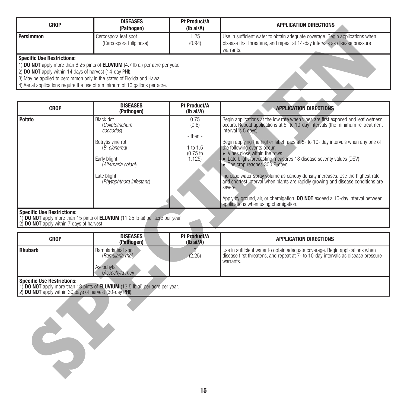| CROP        | <b>DISEASES</b><br>(Pathogen)                   | Pt Product/A<br>$(Ib\text{ ai/A})$ | <b>APPLICATION DIRECTIONS</b>                                                                                                                                            |
|-------------|-------------------------------------------------|------------------------------------|--------------------------------------------------------------------------------------------------------------------------------------------------------------------------|
| l Persimmon | Cercospora leaf spot<br>(Cercospora fuliginosa) | 1.25<br>(0.94)                     | Use in sufficient water to obtain adequate coverage. Begin applications when<br>disease first threatens, and repeat at 14-day intervals as disease pressure<br>warrants. |

## Specific Use Restrictions:

| unur                                                                                                                                                                                                                                                    | (Pathogen)                                                                      | (Ib ai/A)                             | AFFLIVAHUN VINEVHUNG                                                                                                                                                                                                                                                                                           |
|---------------------------------------------------------------------------------------------------------------------------------------------------------------------------------------------------------------------------------------------------------|---------------------------------------------------------------------------------|---------------------------------------|----------------------------------------------------------------------------------------------------------------------------------------------------------------------------------------------------------------------------------------------------------------------------------------------------------------|
| Persimmon                                                                                                                                                                                                                                               | Cercospora leaf spot<br>(Cercospora fuliginosa)                                 | 1.25<br>(0.94)                        | Use in sufficient water to obtain adequate coverage. Begin applications when<br>disease first threatens, and repeat at 14-day intervals as disease pressure<br>warrants.                                                                                                                                       |
| <b>Specific Use Restrictions:</b><br>2) DO NOT apply within 14 days of harvest (14-day PHI).<br>3) May be applied to persimmon only in the states of Florida and Hawaii.<br>4) Aerial applications require the use of a minimum of 10 gallons per acre. | 1) DO NOT apply more than 6.25 pints of ELUVIUM (4.7 lb ai) per acre per year.  |                                       |                                                                                                                                                                                                                                                                                                                |
|                                                                                                                                                                                                                                                         |                                                                                 |                                       |                                                                                                                                                                                                                                                                                                                |
| <b>CROP</b>                                                                                                                                                                                                                                             | <b>DISEASES</b><br>(Pathogen)                                                   | Pt Product/A<br>(Ib ai/A)             | <b>APPLICATION DIRECTIONS</b>                                                                                                                                                                                                                                                                                  |
| Potato                                                                                                                                                                                                                                                  | Black dot<br>(Colletotrichum<br>coccodes)<br>Botrytis vine rot<br>(B. cionerea) | 0.75<br>(0.6)<br>- then -<br>1 to 1.5 | Begin applications at the low rate when vines are first exposed and leaf wetness<br>occurs. Repeat applications at 5- to 10-day intervals (the minimum re-treatment<br>interval is 5 days).<br>Begin applying the higher label rates at 5- to 10- day intervals when any one of<br>the following events occur: |
|                                                                                                                                                                                                                                                         | Early blight<br>(Alternaria solani)<br>Late blight                              | $(0.75$ to<br>1.125                   | • Vines close within the rows<br>• Late blight forecasting measures 18 disease severity values (DSV)<br>• The crop reaches 300 P-days                                                                                                                                                                          |
|                                                                                                                                                                                                                                                         | (Phytophthora infestans)                                                        |                                       | Increase water spray volume as canopy density increases. Use the highest rate<br>and shortest interval when plants are rapidly growing and disease conditions are<br>severe.<br>Apply by ground, air, or chemigation. DO NOT exceed a 10-day interval between<br>applications when using chemigation.          |
| <b>Specific Use Restrictions:</b><br>2) DO NOT apply within 7 days of harvest.                                                                                                                                                                          | 1) DO NOT apply more than 15 pints of ELUVIUM (11.25 lb ai) per acre per year.  |                                       |                                                                                                                                                                                                                                                                                                                |
| <b>CROP</b>                                                                                                                                                                                                                                             | <b>DISEASES</b><br>(Pathogen)                                                   | Pt Product/A<br>$(lb\text{ ai/A})$    | <b>APPLICATION DIRECTIONS</b>                                                                                                                                                                                                                                                                                  |
| <b>Rhubarb</b>                                                                                                                                                                                                                                          | Ramularia leaf spot<br>(Ramularia rhel)                                         | $\overline{3}$<br>(2.25)              | Use in sufficient water to obtain adequate coverage. Begin applications when<br>disease first threatens, and repeat at 7- to 10-day intervals as disease pressure<br>warrants.                                                                                                                                 |
|                                                                                                                                                                                                                                                         |                                                                                 |                                       |                                                                                                                                                                                                                                                                                                                |
|                                                                                                                                                                                                                                                         | Ascochyta<br>(Ascochyta rhei)                                                   |                                       |                                                                                                                                                                                                                                                                                                                |
| <b>Specific Use Restrictions:</b><br>2) DO NOT apply within 30 days of harvest (30-day PHI).                                                                                                                                                            | 1) DO NOT apply more than 18 pints of ELUVIUM (13.5 lb ai) per acre per year.   |                                       |                                                                                                                                                                                                                                                                                                                |

| <b>CROP</b>    | <b>DISEASES</b><br>(Pathogen)                                            | Pt Product/A<br>$(lb\text{ ai/A})$ | <b>APPLICATION DIRECTIONS</b>                                                                                                                                                  |
|----------------|--------------------------------------------------------------------------|------------------------------------|--------------------------------------------------------------------------------------------------------------------------------------------------------------------------------|
| <b>Rhubarb</b> | Ramularia leaf spot<br>(Ramularia rhell<br>Ascochvta<br>(Ascochyta rhei) | (2.25)                             | Use in sufficient water to obtain adequate coverage. Begin applications when<br>disease first threatens, and repeat at 7- to 10-day intervals as disease pressure<br>warrants. |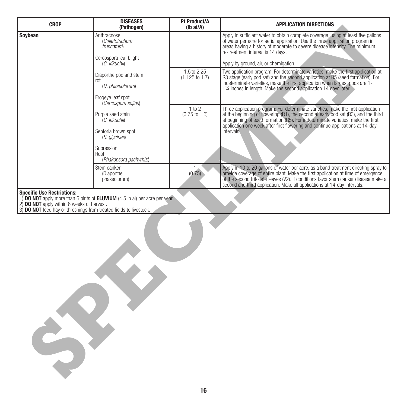| <b>CROP</b>                                                                                                                                           | <b>DISEASES</b><br>(Pathogen)                                                                     | Pt Product/A<br>(Ib ai/A)                | <b>APPLICATION DIRECTIONS</b>                                                                                                                                                                                                                                                                                                                               |
|-------------------------------------------------------------------------------------------------------------------------------------------------------|---------------------------------------------------------------------------------------------------|------------------------------------------|-------------------------------------------------------------------------------------------------------------------------------------------------------------------------------------------------------------------------------------------------------------------------------------------------------------------------------------------------------------|
| Soybean                                                                                                                                               | Anthracnose<br>(Colletotrichum<br>truncatum)<br>Cercospora leaf blight<br>(C. kikuchii)           |                                          | Apply in sufficient water to obtain complete coverage, using at least five gallons<br>of water per acre for aerial application. Use the three application program in<br>areas having a history of moderate to severe disease intensity. The minimum<br>re-treatment interval is 14 days.<br>Apply by ground, air, or chemigation.                           |
|                                                                                                                                                       | Diaporthe pod and stem<br>rot<br>(D. phaseolorum)<br>Frogeye leaf spot                            | 1.5 to 2.25<br>$(1.125 \text{ to } 1.7)$ | Two application program: For determinate varieties, make the first application at<br>R3 stage (early pod set) and the second application at R5 (seed formation). For<br>indeterminate varieties, make the first application when largest pods are 1-<br>11/4 inches in length. Make the second application 14 days later.                                   |
|                                                                                                                                                       | (Cercospora sojina)<br>Purple seed stain<br>(C. kikuchil)<br>Septoria brown spot<br>(S. glycines) | 1 to 2<br>$(0.75 \text{ to } 1.5)$       | Three application program: For determinate varieties, make the first application<br>at the beginning of flowering (R1), the second at early pod set (R3), and the third<br>at beginning of seed formation (R5). For indeterminate varieties, make the first<br>application one week after first flowering and continue applications at 14-day<br>intervals. |
|                                                                                                                                                       | Supression:<br>Rust<br>(Phakopsora pachyrhizi)                                                    |                                          |                                                                                                                                                                                                                                                                                                                                                             |
|                                                                                                                                                       | Stem canker<br>(Diaporthe<br>phaseolorum)                                                         | $\frac{1}{(0.75)}$                       | Apply in 10 to 20 gallons of water per acre, as a band treatment directing spray to<br>provide coverage of entire plant. Make the first application at time of emergence<br>of the second trifoliate leaves (V2). If conditions favor stem canker disease make a<br>second and third application. Make all applications at 14-day intervals.                |
| <b>Specific Use Restrictions:</b><br>2) DO NOT apply within 6 weeks of harvest.<br>3) DO NOT feed hay or threshings from treated fields to livestock. | 1) DO NOT apply more than 6 pints of ELUVIUM (4.5 lb ai) per acre per year.                       |                                          |                                                                                                                                                                                                                                                                                                                                                             |
|                                                                                                                                                       |                                                                                                   |                                          |                                                                                                                                                                                                                                                                                                                                                             |
|                                                                                                                                                       |                                                                                                   |                                          |                                                                                                                                                                                                                                                                                                                                                             |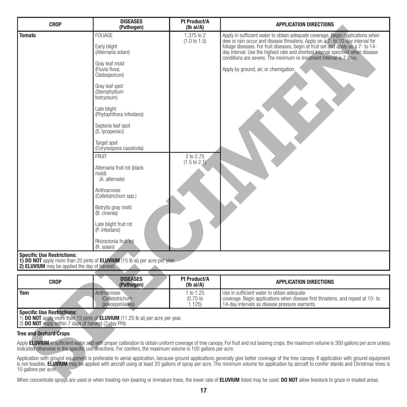|                                                                                                                              | (Pathogen)                                                                                                                                                                                                                                                                                                                                                                                                                                                                                                                                                                                                            | $(Ib\text{ ai/A})$                                      |                                                                                                                                                                                                                                                                                                                                                                                                                                                         |
|------------------------------------------------------------------------------------------------------------------------------|-----------------------------------------------------------------------------------------------------------------------------------------------------------------------------------------------------------------------------------------------------------------------------------------------------------------------------------------------------------------------------------------------------------------------------------------------------------------------------------------------------------------------------------------------------------------------------------------------------------------------|---------------------------------------------------------|---------------------------------------------------------------------------------------------------------------------------------------------------------------------------------------------------------------------------------------------------------------------------------------------------------------------------------------------------------------------------------------------------------------------------------------------------------|
| <b>Tomato</b><br><b>Specific Use Restrictions:</b>                                                                           | <b>FOLIAGE</b><br>Early blight<br>(Alternaria solani)<br>Grav leaf mold<br>(Fluvia fluva;<br>Cladosporium)<br>Gray leaf spot<br>(Stemphyllium<br>botryosum)<br>Late blight<br>(Phytophthora infestans)<br>Septoria leaf spot<br>(S. lycopersici)<br>Target spot<br>(Corynespora cassiicola)<br><b>FRUIT</b><br>Alternaria fruit rot (black<br>mold)<br>(A. alternate)<br>Anthracnose<br>(Colletotrichum spp.)<br>Botrytis gray mold<br>(B. cinerea)<br>Late blight fruit rot<br>(P. infestans)<br>Rhizoctonia fruitirot<br>(R. solani)<br>1) DO NOT apply more than 20 pints of ELUVIUM (15 lb ai) per acre per year. | 1.375 to 2<br>(1.0 to 1.5)<br>2 to 2.75<br>(1.5 to 2.1) | Apply in sufficient water to obtain adequate coverage. Begin applications when<br>dew or rain occur and disease threatens. Apply on a 7- to 10-day interval for<br>foliage diseases. For fruit diseases, begin at fruit set and apply on a 7- to 14-<br>day interval. Use the highest rate and shortest interval specified when disease<br>conditions are severe. The minimum re-treatment interval is 7 days.<br>Apply by ground, air, or chemigation. |
|                                                                                                                              |                                                                                                                                                                                                                                                                                                                                                                                                                                                                                                                                                                                                                       |                                                         |                                                                                                                                                                                                                                                                                                                                                                                                                                                         |
|                                                                                                                              | (Pathogen)                                                                                                                                                                                                                                                                                                                                                                                                                                                                                                                                                                                                            | $(Ib\text{ ai/A})$                                      |                                                                                                                                                                                                                                                                                                                                                                                                                                                         |
|                                                                                                                              | (Colletotrichum<br>gloeosporioides)                                                                                                                                                                                                                                                                                                                                                                                                                                                                                                                                                                                   | $(0.75$ to<br>1.125                                     | coverage. Begin applications when disease first threatens, and repeat at 10- to<br>14-day intervals as disease pressure warrants.                                                                                                                                                                                                                                                                                                                       |
| <b>Specific Use Restrictions:</b><br>2) DO NOT apply within 7 days of harvest (7-day PHI).                                   | 1) DO NOT apply more than 15 pints of ELUVIUM (11.25 lb ai) per acre per year.                                                                                                                                                                                                                                                                                                                                                                                                                                                                                                                                        |                                                         |                                                                                                                                                                                                                                                                                                                                                                                                                                                         |
|                                                                                                                              |                                                                                                                                                                                                                                                                                                                                                                                                                                                                                                                                                                                                                       |                                                         |                                                                                                                                                                                                                                                                                                                                                                                                                                                         |
|                                                                                                                              |                                                                                                                                                                                                                                                                                                                                                                                                                                                                                                                                                                                                                       |                                                         | Apply ELUVIUM in sufficient water and with proper calibration to obtain uniform coverage of tree canopy. For fruit and nut bearing crops, the maximum volume is 300 gallons per acre unless                                                                                                                                                                                                                                                             |
|                                                                                                                              |                                                                                                                                                                                                                                                                                                                                                                                                                                                                                                                                                                                                                       |                                                         | Application with ground equipment is preferable to aerial application, because ground applications generally give better coverage of the tree canopy. If application with ground equipment<br>is not feasible, ELUVIUM may be app                                                                                                                                                                                                                       |
| 2) ELUVIUM may be applied the day of harvest.<br><b>CROP</b><br>Yam<br><b>Tree and Orchard Crops</b><br>10 gallons per acre. | <b>DISEASES</b><br>Anthracnose                                                                                                                                                                                                                                                                                                                                                                                                                                                                                                                                                                                        | Pt Product/A<br>1 to 1.25                               | <b>APPLICATION DIRECTIONS</b><br>Use in sufficient water to obtain adequate<br>When conceptrate entails are used or when tracting non begring or immeture trees, the lower rate of ELIBUIM lighed may be used. DO NOT ellow liveateak to graze in tracted areas                                                                                                                                                                                         |

| CROP                       | <b>DISEASES</b><br>(Pathogen)                      | Pt Product/A<br>$(Ib\text{ ai/A})$ | <b>APPLICATION DIRECTIONS</b>                                                                                                                                                   |
|----------------------------|----------------------------------------------------|------------------------------------|---------------------------------------------------------------------------------------------------------------------------------------------------------------------------------|
| 'Yam                       | Anthracnose<br>(Colletotrichum<br>aloeosporioides) | 1 to 1.25<br>$(0.75)$ to<br>.125)  | Use in sufficient water to obtain adequate<br>coverage. Begin applications when disease first threatens, and repeat at 10- to<br>14-day intervals as disease pressure warrants. |
| Specific Hea Postrictions: |                                                    |                                    |                                                                                                                                                                                 |

## Tree and Orchard Crops

When concentrate sprays are used or when treating non-bearing or immature trees, the lower rate of ELUVIUM listed may be used. DO NOT allow livestock to graze in treated areas.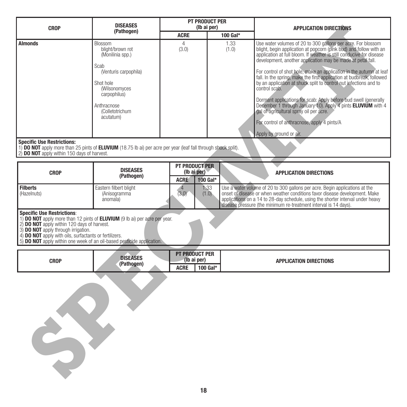| <b>CROP</b>                                                                                                                                                                                                                                                                                                                                             | <b>DISEASES</b>                                                     |                                                     | <b>PT PRODUCT PER</b><br>(Ib ai per) | <b>APPLICATION DIRECTIONS</b>                                                                                                                                                                                                                                                                                     |
|---------------------------------------------------------------------------------------------------------------------------------------------------------------------------------------------------------------------------------------------------------------------------------------------------------------------------------------------------------|---------------------------------------------------------------------|-----------------------------------------------------|--------------------------------------|-------------------------------------------------------------------------------------------------------------------------------------------------------------------------------------------------------------------------------------------------------------------------------------------------------------------|
|                                                                                                                                                                                                                                                                                                                                                         | (Pathogen)                                                          | <b>ACRE</b>                                         | 100 Gal*                             |                                                                                                                                                                                                                                                                                                                   |
| <b>Almonds</b>                                                                                                                                                                                                                                                                                                                                          | Blossom<br>blight/brown rot<br>(Monilinia spp.)<br>Scab             | $\overline{4}$<br>(3.0)                             | 1.33<br>(1.0)                        | Use water volumes of 20 to 300 gallons per acre. For blossom<br>blight, begin application at popcorn (pink bud) and follow with an<br>application at full bloom. If weather is still conducive for disease<br>development, another application may be made at petal fall.                                         |
|                                                                                                                                                                                                                                                                                                                                                         | (Venturis carpophila)<br>Shot hole<br>(Wilsonomyces<br>carpophilus) |                                                     |                                      | For control of shot hole, make an application in the autumn at leaf<br>fall. In the spring, make the first application at budbreak, followed<br>by an application at shuck split to control nut infections and to<br>control scab.<br>Dormant applications for scab: Apply before bud swell (generally            |
|                                                                                                                                                                                                                                                                                                                                                         | Anthracnose<br>(Colletotrichum<br>acutatum)                         |                                                     |                                      | December 1 through January 10). Apply 4 pints ELUVIUM with 4<br>gal of agricultural spray oil per acre.<br>For control of anthracnose, apply 4 pints/A                                                                                                                                                            |
|                                                                                                                                                                                                                                                                                                                                                         |                                                                     |                                                     |                                      | Apply by ground or air.                                                                                                                                                                                                                                                                                           |
| <b>Specific Use Restrictions:</b><br>1) DO NOT apply more than 25 pints of <b>ELUVIUM</b> (18.75 lb ai) per acre per year (leaf fall through shuck split).<br>2) DO NOT apply within 150 days of harvest.                                                                                                                                               |                                                                     |                                                     |                                      |                                                                                                                                                                                                                                                                                                                   |
| <b>CROP</b>                                                                                                                                                                                                                                                                                                                                             | <b>DISEASES</b><br>(Pathogen)                                       | <b>PT PRODUCT PER</b><br>(Ib ai per)<br><b>ACRE</b> | 100 Gal*                             | <b>APPLICATION DIRECTIONS</b>                                                                                                                                                                                                                                                                                     |
| <b>Filberts</b><br>(Hazelnuts)                                                                                                                                                                                                                                                                                                                          | Eastern filbert blight<br>(Anisogramma<br>anomala)                  | $\overline{4}$<br>(3.0)                             | 1.33<br>(1.0)                        | Use a water volume of 20 to 300 gallons per acre. Begin applications at the<br>onset of disease or when weather conditions favor disease development. Make<br>applications on a 14 to 28-day schedule, using the shorter interval under heavy<br>disease pressure (the minimum re-treatment interval is 14 days). |
| <b>Specific Use Restrictions:</b><br>1) <b>DO NOT</b> apply more than 12 pints of <b>ELUVIUM</b> (9 lb ai) per agre per year.<br>2) DO NOT apply within 120 days of harvest.<br>3) DO NOT apply through irrigation.<br>4) DO NOT apply with oils, surfactants or fertilizers.<br>5) DO NOT apply within one week of an oil-based pesticide application. |                                                                     |                                                     |                                      |                                                                                                                                                                                                                                                                                                                   |
| <b>CROP</b>                                                                                                                                                                                                                                                                                                                                             | <b>DISEASES</b><br>(Pathogen)                                       | PT PRODUCT PER<br>(Ib ai per)<br><b>ACRE</b>        | 100 Gal*                             | <b>APPLICATION DIRECTIONS</b>                                                                                                                                                                                                                                                                                     |
|                                                                                                                                                                                                                                                                                                                                                         |                                                                     |                                                     |                                      |                                                                                                                                                                                                                                                                                                                   |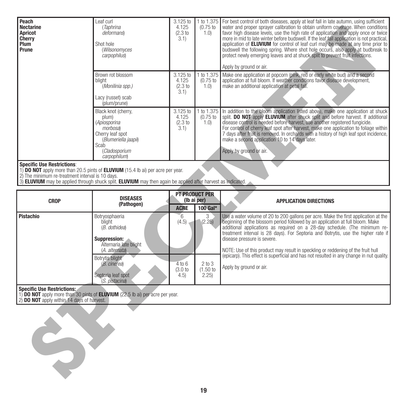| Peach<br><b>Nectarine</b><br>Apricot<br>Cherry<br>Plum <sup>1</sup>                   | Leaf curl<br>(Taphrina<br>deformans)<br>Shot hole                                                                                                                                                                           | 3.125 to<br>4.125<br>(2.3)<br>3.1   | (0.75)<br>1.0               | 1 to 1.375 For best control of both diseases, apply at leaf fall in late autumn, using sufficient<br>water and proper sprayer calibration to obtain uniform coverage. When conditions<br>favor high disease levels, use the high rate of application and apply once or twice<br>more in mid to late winter before budswell. If the leaf fall application is not practical,<br>application of <b>ELUVIUM</b> for control of leaf curl may be made at any time prior to                   |
|---------------------------------------------------------------------------------------|-----------------------------------------------------------------------------------------------------------------------------------------------------------------------------------------------------------------------------|-------------------------------------|-----------------------------|-----------------------------------------------------------------------------------------------------------------------------------------------------------------------------------------------------------------------------------------------------------------------------------------------------------------------------------------------------------------------------------------------------------------------------------------------------------------------------------------|
| Prune                                                                                 | (Wilsonomyces<br>carpophilus)                                                                                                                                                                                               |                                     |                             | budswell the following spring. Where shot hole occurs, also apply at budbreak to<br>protect newly emerging leaves and at shuck split to prevent fruit infections.                                                                                                                                                                                                                                                                                                                       |
|                                                                                       |                                                                                                                                                                                                                             |                                     |                             | Apply by ground or air.                                                                                                                                                                                                                                                                                                                                                                                                                                                                 |
|                                                                                       | Brown rot blossom<br>blight<br>(Monilinia spp.)                                                                                                                                                                             | 3.125 to<br>4.125<br>(2.3)<br>3.1   | 1 to 1.375<br>(0.75)<br>1.0 | Make one application at popcorn (pink, red or early white bud) and a second<br>application at full bloom. If weather conditions favor disease development,<br>make an additional application at petal fall.                                                                                                                                                                                                                                                                             |
|                                                                                       | Lacy (russet) scab<br>(plum/prune)                                                                                                                                                                                          |                                     |                             |                                                                                                                                                                                                                                                                                                                                                                                                                                                                                         |
|                                                                                       | Black knot (cherry,<br>plum)<br>(Apiosporina<br>morbosa)<br>Cherry leaf spot<br>(Blumeriella iaapil)<br>Scab                                                                                                                | 3.125 to<br>4.125<br>(2.3 to<br>3.1 | 1 to 1.375<br>(0.75)<br>1.0 | In addition to the bloom application listed above, make one application at shuck<br>split. DO NOT apply ELUVIUM after shuck split and before harvest. If additional<br>disease control is needed before harvest, use another registered fungicide.<br>For control of cherry leaf spot after harvest, make one application to foliage within<br>7 days after fruit is removed. In orchards with a history of high leaf spot incidence,<br>make a second application 10 to 14 days later. |
|                                                                                       | (Cladosporium<br>carpophilum)                                                                                                                                                                                               |                                     |                             | Apply by ground or air.                                                                                                                                                                                                                                                                                                                                                                                                                                                                 |
| <b>Specific Use Restrictions:</b><br>2) The minimum re-treatment interval is 10 days. | 1) <b>DO NOT</b> apply more than 20.5 pints of <b>ELUVIUM</b> (15.4 lb ai) per acre per year.<br>3) <b>ELUVIUM</b> may be applied through shuck split. <b>ELUVIUM</b> may then again be applied after harvest as indicated. |                                     |                             |                                                                                                                                                                                                                                                                                                                                                                                                                                                                                         |
|                                                                                       |                                                                                                                                                                                                                             | <b>PT PRODUCT PER</b>               |                             |                                                                                                                                                                                                                                                                                                                                                                                                                                                                                         |
|                                                                                       | <b>DISEASES</b>                                                                                                                                                                                                             |                                     |                             |                                                                                                                                                                                                                                                                                                                                                                                                                                                                                         |
| <b>CROP</b>                                                                           | (Pathogen)                                                                                                                                                                                                                  | <b>ACRE</b>                         | (Ib ai per)<br>100 Gal*     | <b>APPLICATION DIRECTIONS</b>                                                                                                                                                                                                                                                                                                                                                                                                                                                           |
| <b>Pistachio</b>                                                                      | Botryosphaeria<br>blight<br>(B. dothidea)<br><b>Suppression:</b>                                                                                                                                                            | 6<br>(4.5)                          | 3<br>(2.25)                 | Use a water volume of 20 to 200 gallons per acre. Make the first application at the<br>beginning of the blossom period followed by an application at full bloom. Make<br>additional applications as required on a 28-day schedule. (The minimum re-<br>treatment interval is 28 days). For Septoria and Botrytis, use the higher rate if<br>disease pressure is severe.                                                                                                                 |
|                                                                                       | Alternaria late blight<br>(A. alternata)                                                                                                                                                                                    |                                     |                             | NOTE: Use of this product may result in speckling or reddening of the fruit hull                                                                                                                                                                                                                                                                                                                                                                                                        |
|                                                                                       | Botrytis blight<br>(B. cinerea)<br>Septoria leaf spot                                                                                                                                                                       | 4 to 6<br>(3.0)<br>4.5)             | 2 to 3<br>(1.50)<br>2.25)   | (epicarp). This effect is superficial and has not resulted in any change in nut quality.<br>Apply by ground or air.                                                                                                                                                                                                                                                                                                                                                                     |
| <b>Specific Use Restrictions:</b><br>2) DO NOT apply within 14 days of harvest.       | (S. pistacina)<br>1) DO NOT apply more than 30 pints of <b>ELUVIUM</b> (22.5 lb ai) per acre per year.                                                                                                                      |                                     |                             |                                                                                                                                                                                                                                                                                                                                                                                                                                                                                         |

| <b>CROP</b> | <b>DISEASES</b><br>(Pathogen)                                                                         | <b>ACRE</b>              | <b>PT PRODUCT PER</b><br>(lb ai per)<br>100 Gal* | <b>APPLICATION DIRECTIONS</b>                                                                                                                                                                                                                                                                                                                                                                                                                               |
|-------------|-------------------------------------------------------------------------------------------------------|--------------------------|--------------------------------------------------|-------------------------------------------------------------------------------------------------------------------------------------------------------------------------------------------------------------------------------------------------------------------------------------------------------------------------------------------------------------------------------------------------------------------------------------------------------------|
| Pistachio   | Botryosphaeria<br>blight<br>(B. dothidea)<br>Suppression:<br>Alternaria late blight<br>(A. alternata) | (4.5)                    | (2.25)                                           | Use a water volume of 20 to 200 gallons per acre. Make the first application at the<br>beginning of the blossom period followed by an application at full bloom. Make<br>additional applications as required on a 28-day schedule. (The minimum re-<br>treatment interval is 28 days). For Septoria and Botrytis, use the higher rate if<br>disease pressure is severe.<br>NOTE: Use of this product may result in speckling or reddening of the fruit hull |
|             | <b>Botrytis blight</b><br>(B. cinerea)<br>Septoria leaf spot<br>(S. pistacina)                        | 4 to 6<br>(3.0 t)<br>4.5 | 2 to 3<br>$1.50$ to<br>2.25)                     | (epicarp). This effect is superficial and has not resulted in any change in nut quality.<br>Apply by ground or air.                                                                                                                                                                                                                                                                                                                                         |

19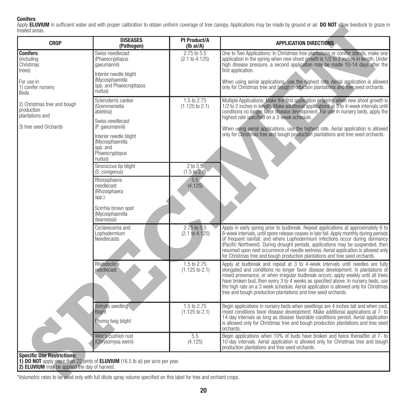**Conifers**<br>Apply **ELUVIUM** in sufficient water and with proper calibration to obtain uniform coverage of tree canopy. Applications may be made by ground or air. **DO NOT** allow livestock to graze in<br>treated areas.

| <b>CROP</b>                                                  | <b>DISEASES</b><br>(Pathogen)                                                     | Pt Product/A<br>$(Ib\text{ ai/A})$ | <b>APPLICATION DIRECTIONS</b>                                                                                                                                                                                                                                                                                                                                                                                                                                                                                           |
|--------------------------------------------------------------|-----------------------------------------------------------------------------------|------------------------------------|-------------------------------------------------------------------------------------------------------------------------------------------------------------------------------------------------------------------------------------------------------------------------------------------------------------------------------------------------------------------------------------------------------------------------------------------------------------------------------------------------------------------------|
| <b>Conifers</b><br>(including<br>Christmas<br>trees)         | Swiss needlecast<br>(Phaeocryptopus)<br>gaeumannii)                               | 2.75 to 5.5<br>(2.1 to 4.125)      | One to Two Applications: In Christmas tree plantations or conifer stands, make one<br>application in the spring when new shoot growth is 1/2 to 2 inches in length. Under<br>high disease pressure, a second application may be made 10-14 days after the<br>first application.                                                                                                                                                                                                                                         |
| For use in<br>1) conifer nursery<br>Beds                     | Interior needle blight<br>(Mycosphaerella<br>spp. and Phaeocryptopus<br>nudus)    |                                    | When using aerial applications, use the highest rate. Aerial application is allowed<br>only for Christmas tree and bough production plantations and tree seed orchards.                                                                                                                                                                                                                                                                                                                                                 |
| 2) Christmas tree and bough<br>production<br>plantations and | Scleroderris canker<br>(Gremmeniella<br>abietina)                                 | 1.5 to 2.75<br>$(1.125$ to 2.1)    | Multiple Applications: Make the first application in spring when new shoot growth is<br>1/2 to 2 inches in length. Make additional applications at 3 to 4-week intervals until<br>conditions no longer favor disease development. For use in nursery beds, apply the<br>highest rate specified on a 3-week schedule.                                                                                                                                                                                                    |
| 3) tree seed Orchards                                        | Swiss.needlecast<br>(P. gaeumannii)                                               |                                    | When using aerial applications, use the highest rate. Aerial application is allowed                                                                                                                                                                                                                                                                                                                                                                                                                                     |
|                                                              | Interior needle blight<br>(Mycosphaerella<br>spp. and<br>Phaeocryptopus<br>nudus) |                                    | only for Christmas tree and bough production plantations and tree seed orchards.                                                                                                                                                                                                                                                                                                                                                                                                                                        |
|                                                              | Sirococcus tip blight<br>(S. conigenus)                                           | 2 to 3.5<br>(1.5 to 2.6)           |                                                                                                                                                                                                                                                                                                                                                                                                                                                                                                                         |
|                                                              | Rhizosphaera<br>needlecast<br>(Rhizosphaera<br>spp.)                              | 5.5<br>(4.125)                     |                                                                                                                                                                                                                                                                                                                                                                                                                                                                                                                         |
|                                                              | Scirrhia brown spot<br>(Mycosphaerella)<br>dearnessii)                            |                                    |                                                                                                                                                                                                                                                                                                                                                                                                                                                                                                                         |
|                                                              | Cyclaneusma and<br>Lophodermium<br><b>Needlecasts</b>                             | 2.75 to 5.5<br>(2.1 to 4.125)      | Apply in early spring prior to budbreak. Repeat applications at approximately 6 to<br>8-week intervals, until spore release ceases in late fall. Apply monthly during periods<br>of frequent rainfall, and where Lophodermium infections occur during dormancy<br>(Pacific Northwest). During drought periods, applications may be suspended, then<br>resumed upon next occurrence of needle wetness. Aerial application is allowed only<br>for Christmas tree and bough production plantations and tree seed orchards. |
|                                                              | Rhabdocline<br>needlecast                                                         | 1.5 to 2.75<br>$(1.125$ to 2.1)    | Apply at budbreak and repeat at 3 to 4-week intervals until needles are fully<br>elongated and conditions no longer favor disease development. In plantations of<br>mixed provenance, or when irregular budbreak occurs, apply weekly until all trees<br>have broken bud, then every 3 to 4 weeks as specified above. In nursery beds, use<br>the high rate on a 3 week schedule. Aerial application is allowed only for Christmas<br>tree and bough production plantations and tree seed orchards.                     |
|                                                              | Botrytis seedling<br><b>Blight</b><br>Phoma twig blight                           | 1.5 to 2.75<br>$(1.125$ to 2.1)    | Begin applications in nursery beds when seedlings are 4 inches tall and when cool,<br>moist conditions favor disease development. Make additional applications at 7- to<br>14-day intervals as long as disease favorable conditions persist. Aerial application<br>is allowed only for Christmas tree and bough production plantations and tree seed<br>orchards.                                                                                                                                                       |
|                                                              | Weir's cushion rust<br>(Chrysomyxa weirii)                                        | 5.5<br>(4.125)                     | Begin applications when 10% of buds have broken and twice thereafter at 7- to<br>10-day intervals. Aerial application is allowed only for Christmas tree and bough<br>production plantations and tree seed orchards.                                                                                                                                                                                                                                                                                                    |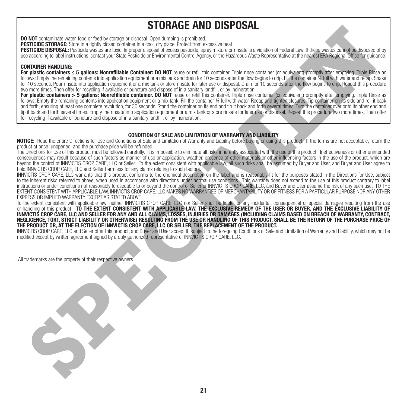**STORAGE AND DISPOSAL**<br>**PESTIGIDE STORAGE:** Store in a tightly closed container in a cool, dry place. Protect from excessive heat.<br>**PESTIGIDE DISPOSAL:** Pesticide wastes are toxic. Improper disposal of excess nesticide, sp use according to label instructions, contact your State Pesticide or Environmental Control Agency, or the Hazardous Waste Representative at the nearest EPA Regional Office for guidance.

#### CONTAINER HANDLING:

**For plastic containers ≤ 5 gallons: Nonrefillable Container: DO NOT** reuse or refill this container. Triple rinse container (or equivalent) promptly after emptying. Triple Rinse as<br>follows: Empty the remaining contents i for 10 seconds. Pour rinsate into application equipment or a mix tank or store rinsate for later use or disposal. Drain for 10 seconds after the flow begins to drip. Repeat this procedure two more times. Then offer for rec

For plastic containers > 5 gallons: Nonrefillable container. DO NOT reuse or refill this container. Triple rinse container (or equivalent) promptly after emptying. Triple Rinse as follows: Empty the remaining contents into application equipment or a mix tank. Fill the container ¼ full with water. Recap and tighten closures. Tip container on its side and roll it back and forth, ensuring at least one tip it back and forth several times. Empty the rinsate into application equipment or a mix tank or store rinsate for later use or disposal. Repeat this procedure two more times. Then offer for recycling if available or pun **SPECIFICATION CONTINUES IN CONTINUES IN A CONTINUES IN A CONTINUES IN A CONTINUES IN A CONTINUES IN A CONTINUES IN A CONTINUES IN A CONTINUES IN A CONTINUES IN A CONTINUES IN A CONTINUES IN A CONTINUES IN A CONTINUES IN A** 

**NOTICE:** Read the entire Directions for Use and Cond**IDITION OF SALE AND LIMITATION OF WARRANTY AND LIABILITY**<br>The Directions for the and Conditions of Sale and Limitation of Warranty and Liability before buying or using

beyond the control of INNVICTIS CROP CARE, LLC or Seller. To the extent consistent with applicable law, all such risks shall be assumed by Buyer and User, and Buyer and User agree to hold INNVICTIS CROP CARE. LLC and Selle

INNVICTIS CROP CARE. LLC warrants that this product conforms to the chemical description on the label and is reasonably fit for the purposes stated in the Directions for Use, subject to the inherent risks referred to above, when used in accordance with directions under normal use conditions. This warranty does not extend to the use of this product contrary to label<br>instructions or under conditions not EXTENT CONSISTENT WITH APPLICABLE LAW, INNVICTIS CROP CARE, LLC MAKES NO WARRANTIES OF MERCHANTABILITY OR OF FITNESS FOR A PARTICULAR PURPOŚE NOR ANY OTHER<br>EXPRESS OR IMPLIED WARRANTY EXCEPT AS STATED ABOVE.

To the extent consistent with applicable law, neither INNVICTIS CROP CARE, LLC nor Seller shall be liable for any incidental, consequential or special damages resulting from the use or handling of this product. TO THE EXTENT CONSISTENT WITH APPLICABLE LAW. THE EXCLUSIVE REMEDY OF THE USER OR BUYER. AND THE EXCLUSIVE LIABILITY OF INNVICTIS CROP CARE, LLC AND SELLER FOR ANY AND ALL CLAIMS, LOSSES, INJURIES OR DAMAGES (INCLUDING CLAIMS BASED ON BREACH OF WARRANTY, CONTRACT,<br>NEGLIGENCE, TORT, STRICT LIABILITY OR OTHERWISE) RESULTING FROM THE USE OR HA THE PRODUCT OR, AT THE ELECTION OF INNVICTIS CROP CARE, LLC OR SELLER, THE REPLACEMENT OF THE PRODUCT.

INNVICTIS CROP CARE, LLC and Seller offer this product, and Buyer and User accept it, subject to the foregoing Conditions of Sale and Limitation of Warranty and Liability, which may not be modified except by written agreement signed by a duly authorized representative of INNVICTIS CROP CARE, LLC.

All trademarks are the property of their respective owners.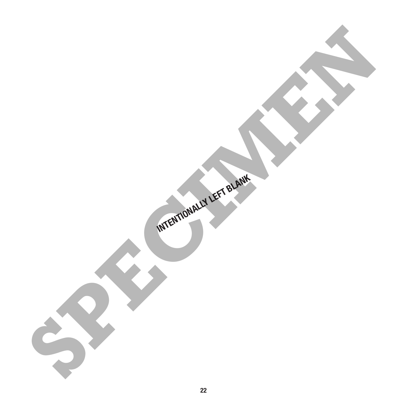INTENTIONALLY LEFT BLANK **SPECIAL AND INTERNATIONAL PROPERTY AND INCORPORATION**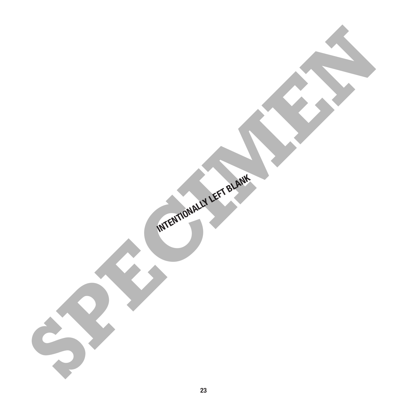INTENTIONALLY LEFT BLANK **SPECIAL AND INTERNATIONAL PROPERTY AND INCORPORATION**